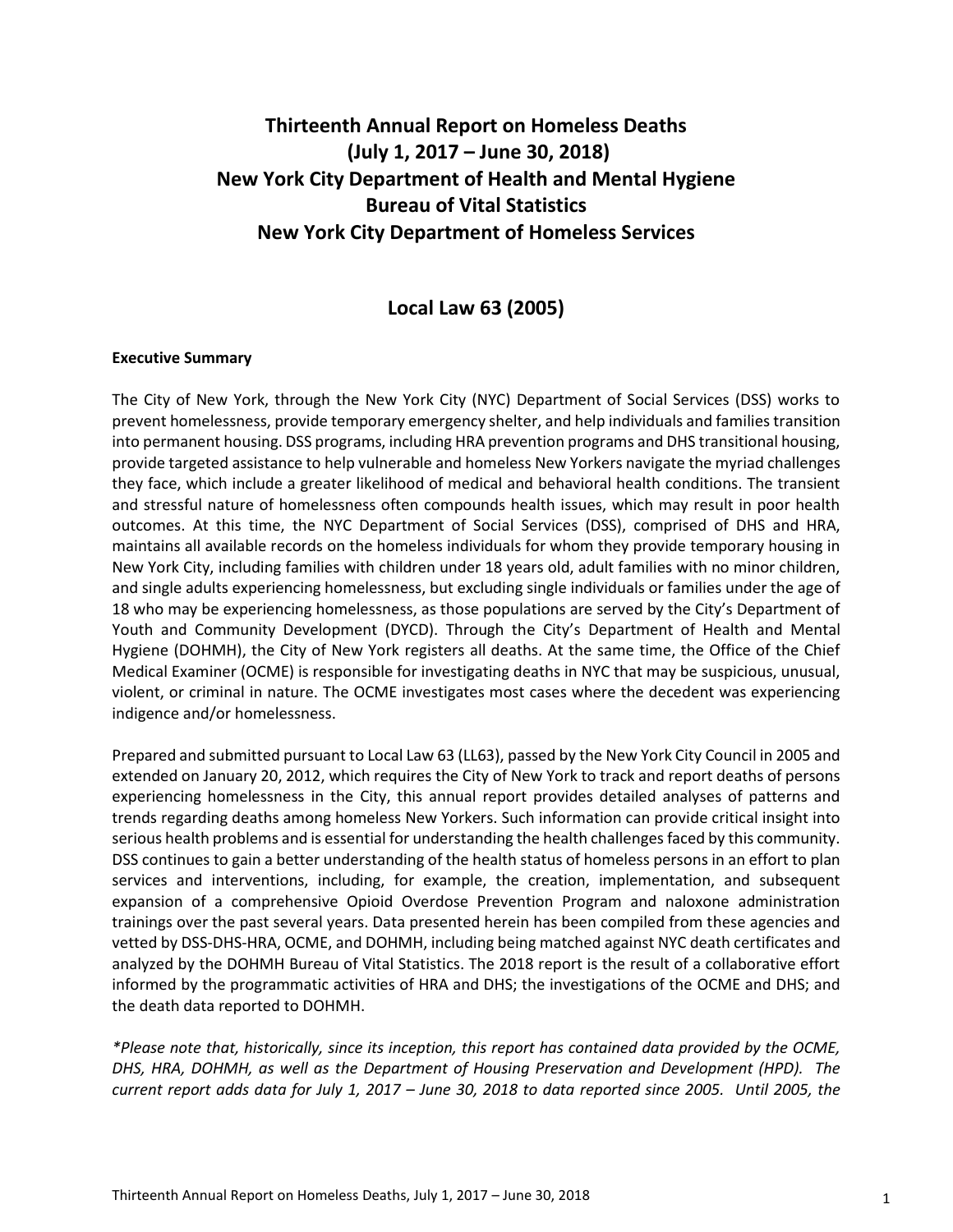# **Thirteenth Annual Report on Homeless Deaths (July 1, 2017 – June 30, 2018) New York City Department of Health and Mental Hygiene Bureau of Vital Statistics New York City Department of Homeless Services**

## **Local Law 63 (2005)**

#### **Executive Summary**

The City of New York, through the New York City (NYC) Department of Social Services (DSS) works to prevent homelessness, provide temporary emergency shelter, and help individuals and families transition into permanent housing. DSS programs, including HRA prevention programs and DHS transitional housing, provide targeted assistance to help vulnerable and homeless New Yorkers navigate the myriad challenges they face, which include a greater likelihood of medical and behavioral health conditions. The transient and stressful nature of homelessness often compounds health issues, which may result in poor health outcomes. At this time, the NYC Department of Social Services (DSS), comprised of DHS and HRA, maintains all available records on the homeless individuals for whom they provide temporary housing in New York City, including families with children under 18 years old, adult families with no minor children, and single adults experiencing homelessness, but excluding single individuals or families under the age of 18 who may be experiencing homelessness, as those populations are served by the City's Department of Youth and Community Development (DYCD). Through the City's Department of Health and Mental Hygiene (DOHMH), the City of New York registers all deaths. At the same time, the Office of the Chief Medical Examiner (OCME) is responsible for investigating deaths in NYC that may be suspicious, unusual, violent, or criminal in nature. The OCME investigates most cases where the decedent was experiencing indigence and/or homelessness.

Prepared and submitted pursuant to Local Law 63 (LL63), passed by the New York City Council in 2005 and extended on January 20, 2012, which requires the City of New York to track and report deaths of persons experiencing homelessness in the City, this annual report provides detailed analyses of patterns and trends regarding deaths among homeless New Yorkers. Such information can provide critical insight into serious health problems and is essential for understanding the health challenges faced by this community. DSS continues to gain a better understanding of the health status of homeless persons in an effort to plan services and interventions, including, for example, the creation, implementation, and subsequent expansion of a comprehensive Opioid Overdose Prevention Program and naloxone administration trainings over the past several years. Data presented herein has been compiled from these agencies and vetted by DSS-DHS-HRA, OCME, and DOHMH, including being matched against NYC death certificates and analyzed by the DOHMH Bureau of Vital Statistics. The 2018 report is the result of a collaborative effort informed by the programmatic activities of HRA and DHS; the investigations of the OCME and DHS; and the death data reported to DOHMH.

*\*Please note that, historically, since its inception, this report has contained data provided by the OCME, DHS, HRA, DOHMH, as well as the Department of Housing Preservation and Development (HPD). The current report adds data for July 1, 2017 – June 30, 2018 to data reported since 2005. Until 2005, the*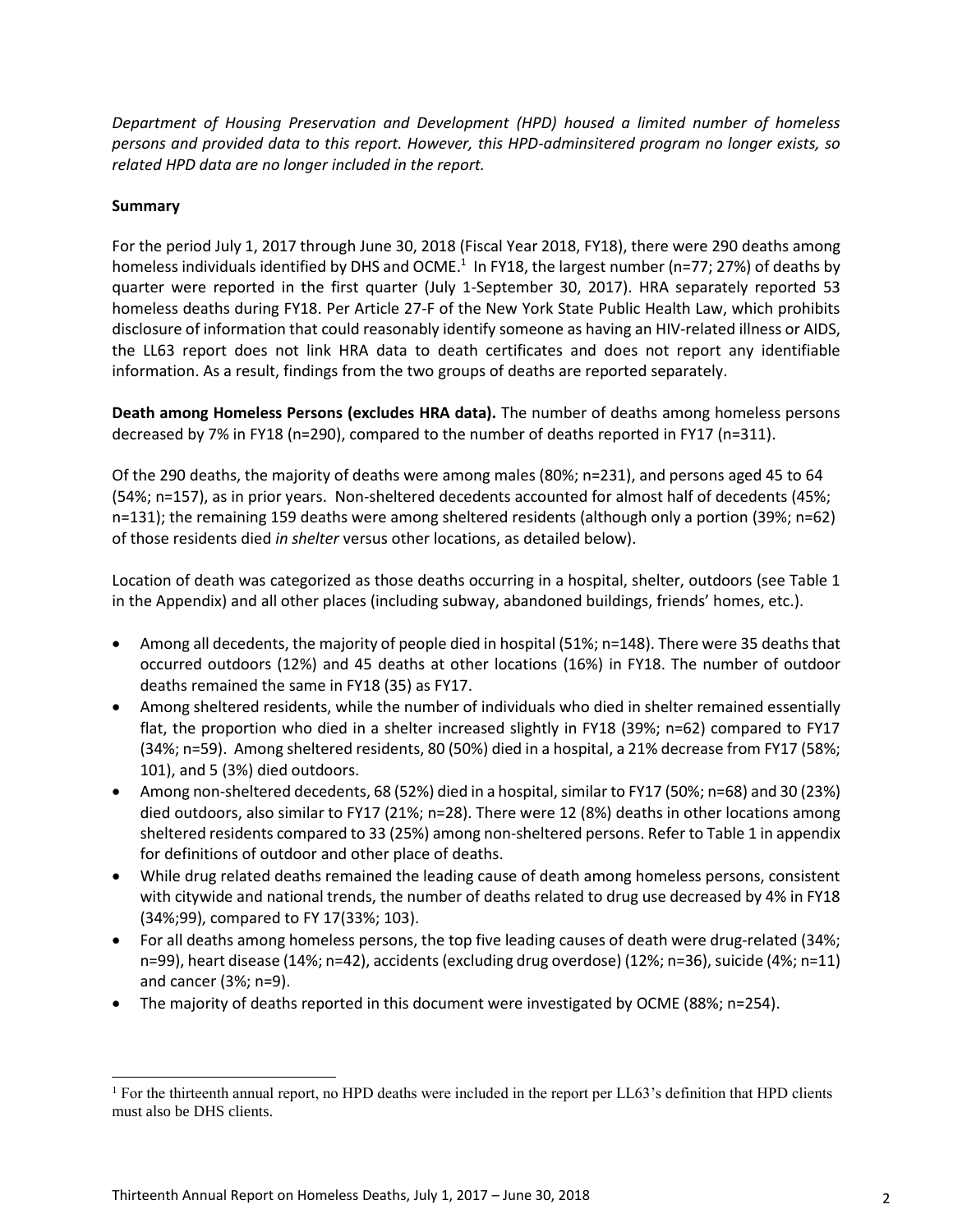*Department of Housing Preservation and Development (HPD) housed a limited number of homeless persons and provided data to this report. However, this HPD-adminsitered program no longer exists, so related HPD data are no longer included in the report.* 

#### **Summary**

 $\overline{\phantom{a}}$ 

For the period July 1, 2017 through June 30, 2018 (Fiscal Year 2018, FY18), there were 290 deaths among homeless individuals identified by DHS and OCME.<sup>1</sup> In FY18, the largest number (n=77; 27%) of deaths by quarter were reported in the first quarter (July 1-September 30, 2017). HRA separately reported 53 homeless deaths during FY18. Per Article 27-F of the New York State Public Health Law, which prohibits disclosure of information that could reasonably identify someone as having an HIV-related illness or AIDS, the LL63 report does not link HRA data to death certificates and does not report any identifiable information. As a result, findings from the two groups of deaths are reported separately.

**Death among Homeless Persons (excludes HRA data).** The number of deaths among homeless persons decreased by 7% in FY18 (n=290), compared to the number of deaths reported in FY17 (n=311).

Of the 290 deaths, the majority of deaths were among males (80%; n=231), and persons aged 45 to 64 (54%; n=157), as in prior years. Non-sheltered decedents accounted for almost half of decedents (45%; n=131); the remaining 159 deaths were among sheltered residents (although only a portion (39%; n=62) of those residents died *in shelter* versus other locations, as detailed below).

Location of death was categorized as those deaths occurring in a hospital, shelter, outdoors (see Table 1 in the Appendix) and all other places (including subway, abandoned buildings, friends' homes, etc.).

- Among all decedents, the majority of people died in hospital (51%; n=148). There were 35 deaths that occurred outdoors (12%) and 45 deaths at other locations (16%) in FY18. The number of outdoor deaths remained the same in FY18 (35) as FY17.
- Among sheltered residents, while the number of individuals who died in shelter remained essentially flat, the proportion who died in a shelter increased slightly in FY18 (39%; n=62) compared to FY17 (34%; n=59). Among sheltered residents, 80 (50%) died in a hospital, a 21% decrease from FY17 (58%; 101), and 5 (3%) died outdoors.
- Among non-sheltered decedents, 68 (52%) died in a hospital, similar to FY17 (50%; n=68) and 30 (23%) died outdoors, also similar to FY17 (21%; n=28). There were 12 (8%) deaths in other locations among sheltered residents compared to 33 (25%) among non-sheltered persons. Refer to Table 1 in appendix for definitions of outdoor and other place of deaths.
- While drug related deaths remained the leading cause of death among homeless persons, consistent with citywide and national trends, the number of deaths related to drug use decreased by 4% in FY18 (34%;99), compared to FY 17(33%; 103).
- For all deaths among homeless persons, the top five leading causes of death were drug-related (34%; n=99), heart disease (14%; n=42), accidents (excluding drug overdose) (12%; n=36), suicide (4%; n=11) and cancer (3%; n=9).
- The majority of deaths reported in this document were investigated by OCME (88%; n=254).

<sup>1</sup> For the thirteenth annual report, no HPD deaths were included in the report per LL63's definition that HPD clients must also be DHS clients.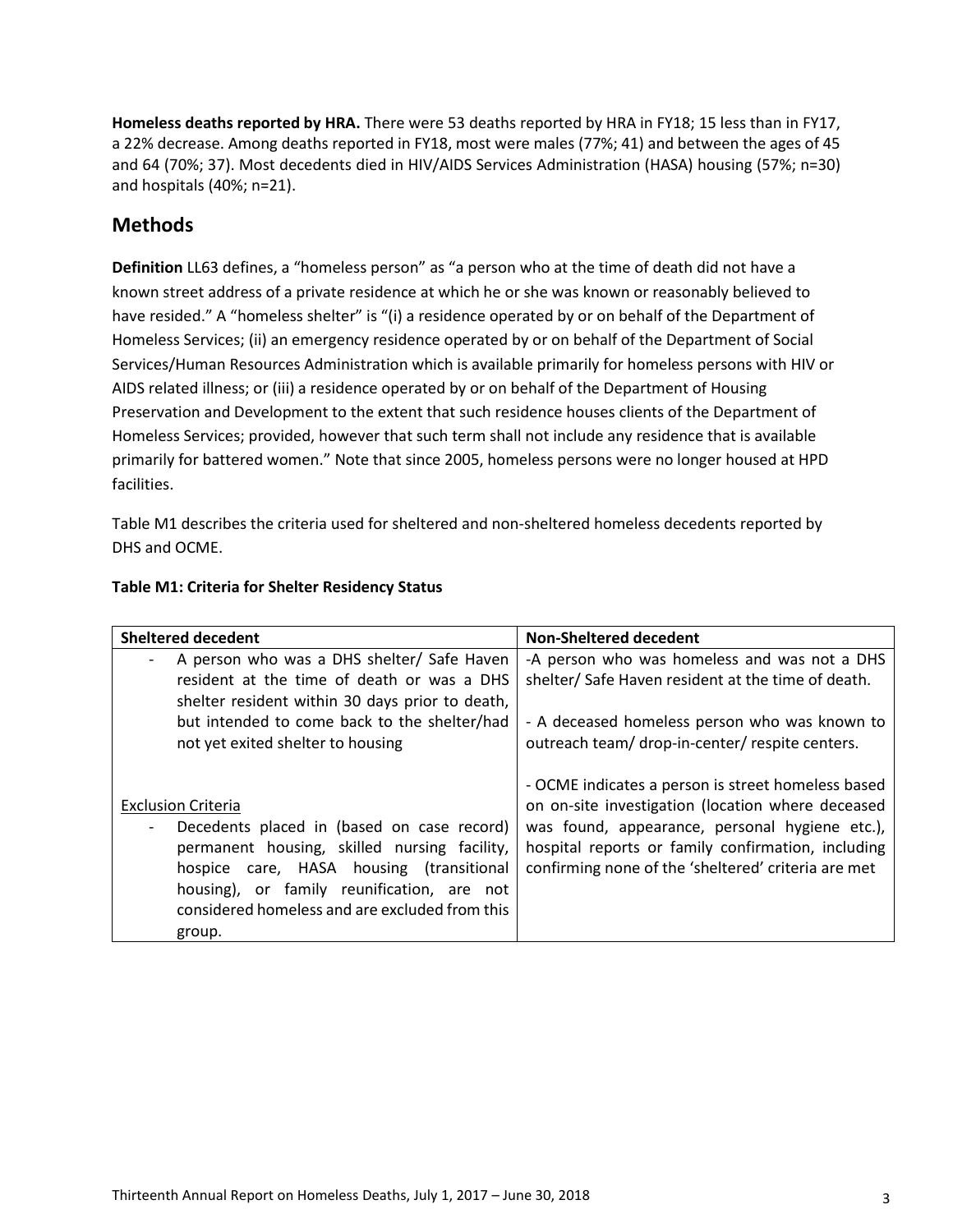**Homeless deaths reported by HRA.** There were 53 deaths reported by HRA in FY18; 15 less than in FY17, a 22% decrease. Among deaths reported in FY18, most were males (77%; 41) and between the ages of 45 and 64 (70%; 37). Most decedents died in HIV/AIDS Services Administration (HASA) housing (57%; n=30) and hospitals (40%; n=21).

# **Methods**

**Definition** LL63 defines, a "homeless person" as "a person who at the time of death did not have a known street address of a private residence at which he or she was known or reasonably believed to have resided." A "homeless shelter" is "(i) a residence operated by or on behalf of the Department of Homeless Services; (ii) an emergency residence operated by or on behalf of the Department of Social Services/Human Resources Administration which is available primarily for homeless persons with HIV or AIDS related illness; or (iii) a residence operated by or on behalf of the Department of Housing Preservation and Development to the extent that such residence houses clients of the Department of Homeless Services; provided, however that such term shall not include any residence that is available primarily for battered women." Note that since 2005, homeless persons were no longer housed at HPD facilities.

Table M1 describes the criteria used for sheltered and non-sheltered homeless decedents reported by DHS and OCME.

| <b>Sheltered decedent</b>                                                                                                                                                                                                                                                     | <b>Non-Sheltered decedent</b>                                                                                                                                                                                                                                          |  |  |  |  |  |  |
|-------------------------------------------------------------------------------------------------------------------------------------------------------------------------------------------------------------------------------------------------------------------------------|------------------------------------------------------------------------------------------------------------------------------------------------------------------------------------------------------------------------------------------------------------------------|--|--|--|--|--|--|
| A person who was a DHS shelter/ Safe Haven                                                                                                                                                                                                                                    | -A person who was homeless and was not a DHS                                                                                                                                                                                                                           |  |  |  |  |  |  |
| resident at the time of death or was a DHS                                                                                                                                                                                                                                    | shelter/Safe Haven resident at the time of death.                                                                                                                                                                                                                      |  |  |  |  |  |  |
| shelter resident within 30 days prior to death,                                                                                                                                                                                                                               |                                                                                                                                                                                                                                                                        |  |  |  |  |  |  |
| but intended to come back to the shelter/had                                                                                                                                                                                                                                  | - A deceased homeless person who was known to                                                                                                                                                                                                                          |  |  |  |  |  |  |
| not yet exited shelter to housing                                                                                                                                                                                                                                             | outreach team/ drop-in-center/ respite centers.                                                                                                                                                                                                                        |  |  |  |  |  |  |
| <b>Exclusion Criteria</b><br>Decedents placed in (based on case record)<br>permanent housing, skilled nursing facility,<br>hospice care, HASA housing (transitional<br>housing), or family reunification, are not<br>considered homeless and are excluded from this<br>group. | - OCME indicates a person is street homeless based<br>on on-site investigation (location where deceased<br>was found, appearance, personal hygiene etc.),<br>hospital reports or family confirmation, including<br>confirming none of the 'sheltered' criteria are met |  |  |  |  |  |  |

## **Table M1: Criteria for Shelter Residency Status**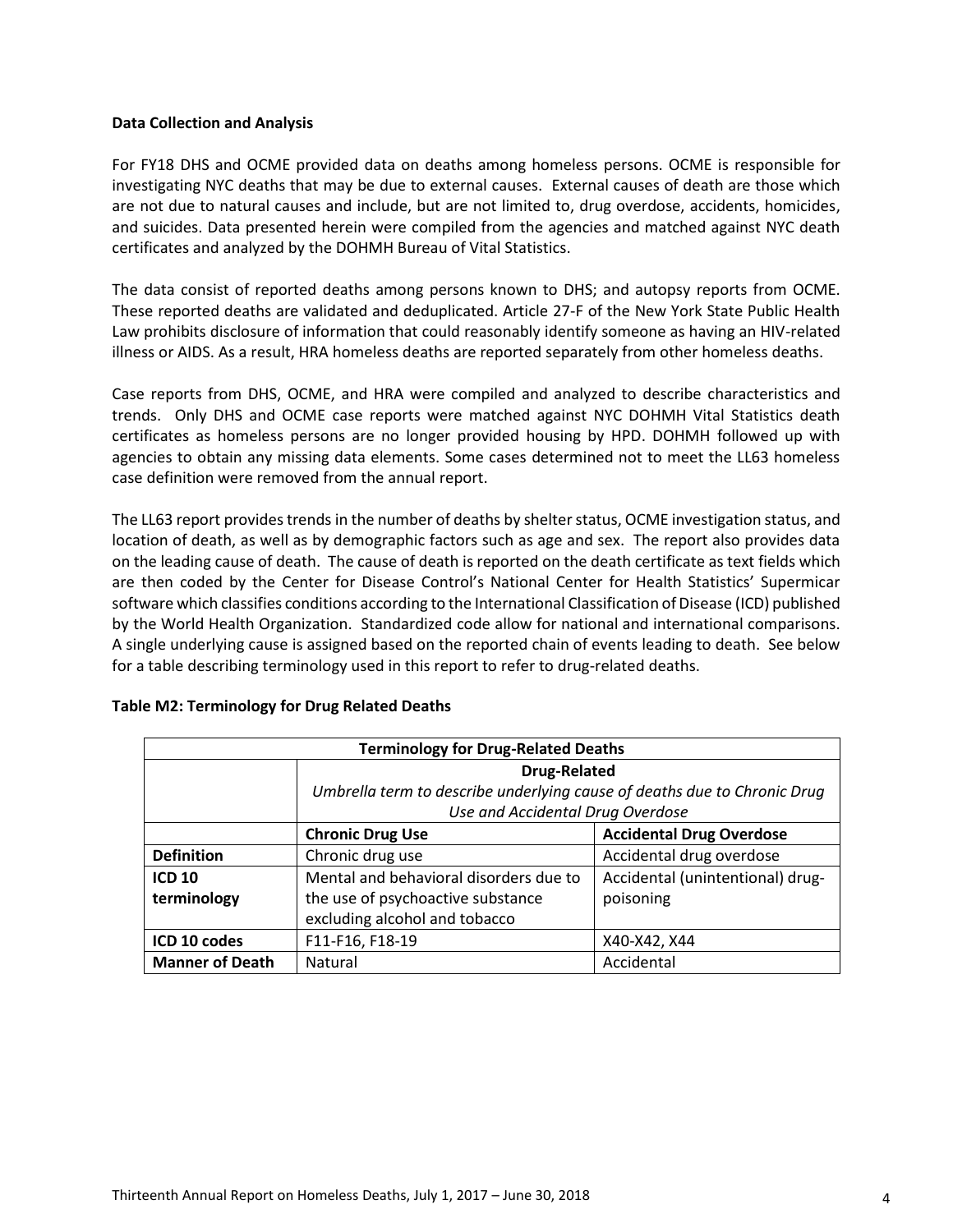#### **Data Collection and Analysis**

For FY18 DHS and OCME provided data on deaths among homeless persons. OCME is responsible for investigating NYC deaths that may be due to external causes. External causes of death are those which are not due to natural causes and include, but are not limited to, drug overdose, accidents, homicides, and suicides. Data presented herein were compiled from the agencies and matched against NYC death certificates and analyzed by the DOHMH Bureau of Vital Statistics.

The data consist of reported deaths among persons known to DHS; and autopsy reports from OCME. These reported deaths are validated and deduplicated. Article 27-F of the New York State Public Health Law prohibits disclosure of information that could reasonably identify someone as having an HIV-related illness or AIDS. As a result, HRA homeless deaths are reported separately from other homeless deaths.

Case reports from DHS, OCME, and HRA were compiled and analyzed to describe characteristics and trends. Only DHS and OCME case reports were matched against NYC DOHMH Vital Statistics death certificates as homeless persons are no longer provided housing by HPD. DOHMH followed up with agencies to obtain any missing data elements. Some cases determined not to meet the LL63 homeless case definition were removed from the annual report.

The LL63 report provides trends in the number of deaths by shelter status, OCME investigation status, and location of death, as well as by demographic factors such as age and sex. The report also provides data on the leading cause of death. The cause of death is reported on the death certificate as text fields which are then coded by the Center for Disease Control's National Center for Health Statistics' Supermicar software which classifies conditions according to the International Classification of Disease (ICD) published by the World Health Organization. Standardized code allow for national and international comparisons. A single underlying cause is assigned based on the reported chain of events leading to death. See below for a table describing terminology used in this report to refer to drug-related deaths.

| <b>Terminology for Drug-Related Deaths</b> |                                                                          |                                  |  |  |  |  |  |  |  |  |  |
|--------------------------------------------|--------------------------------------------------------------------------|----------------------------------|--|--|--|--|--|--|--|--|--|
|                                            | <b>Drug-Related</b>                                                      |                                  |  |  |  |  |  |  |  |  |  |
|                                            | Umbrella term to describe underlying cause of deaths due to Chronic Drug |                                  |  |  |  |  |  |  |  |  |  |
|                                            | Use and Accidental Drug Overdose                                         |                                  |  |  |  |  |  |  |  |  |  |
|                                            | <b>Chronic Drug Use</b>                                                  | <b>Accidental Drug Overdose</b>  |  |  |  |  |  |  |  |  |  |
| <b>Definition</b>                          | Chronic drug use                                                         | Accidental drug overdose         |  |  |  |  |  |  |  |  |  |
| <b>ICD 10</b>                              | Mental and behavioral disorders due to                                   | Accidental (unintentional) drug- |  |  |  |  |  |  |  |  |  |
| terminology                                | the use of psychoactive substance                                        | poisoning                        |  |  |  |  |  |  |  |  |  |
|                                            | excluding alcohol and tobacco                                            |                                  |  |  |  |  |  |  |  |  |  |
| ICD 10 codes                               | F11-F16, F18-19<br>X40-X42, X44                                          |                                  |  |  |  |  |  |  |  |  |  |
| <b>Manner of Death</b>                     | Natural                                                                  | Accidental                       |  |  |  |  |  |  |  |  |  |

#### **Table M2: Terminology for Drug Related Deaths**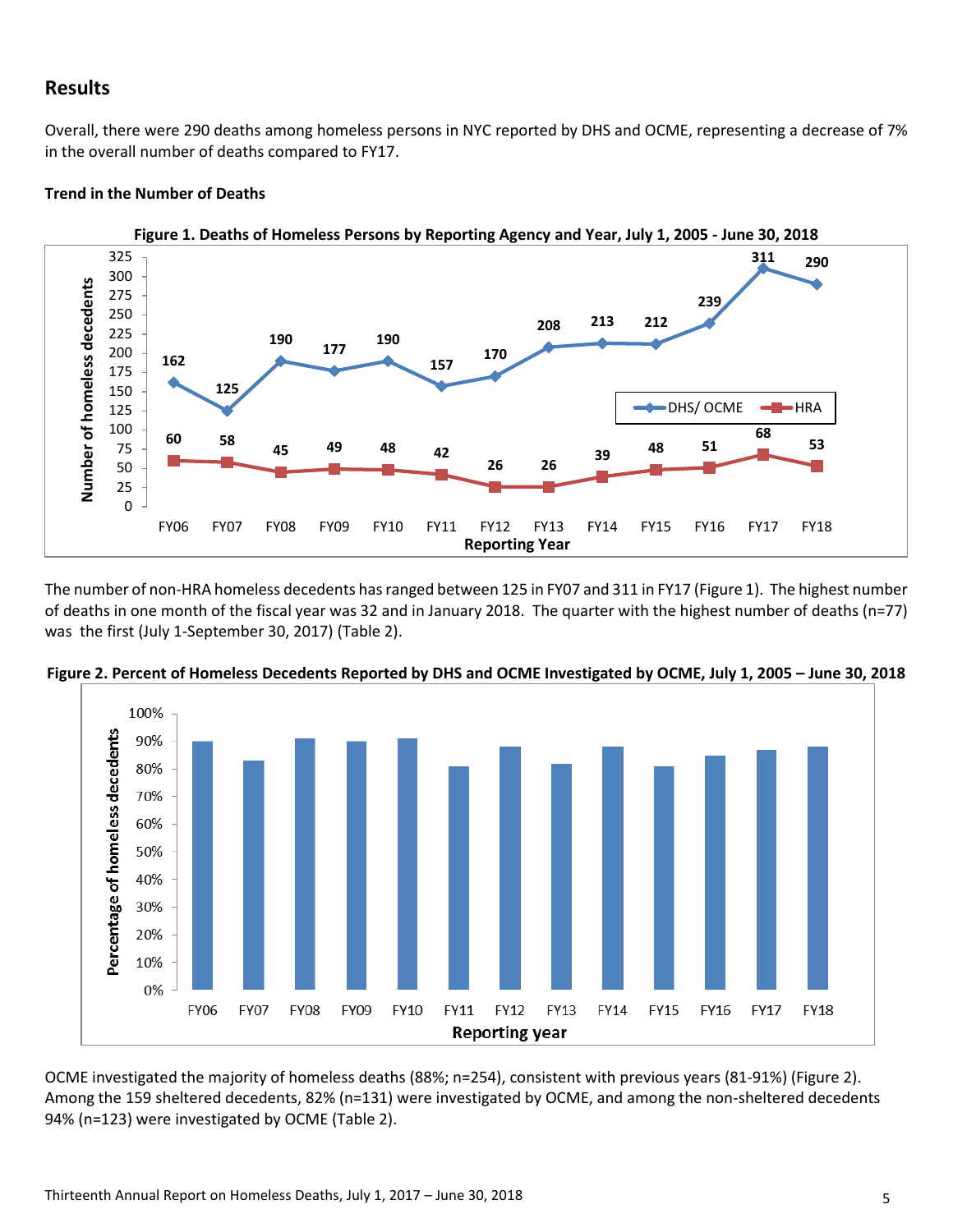## **Results**

Overall, there were 290 deaths among homeless persons in NYC reported by DHS and OCME, representing a decrease of 7% in the overall number of deaths compared to FY17.

#### **Trend in the Number of Deaths**



**Figure 1. Deaths of Homeless Persons by Reporting Agency and Year, July 1, 2005 - June 30, 2018**

The number of non-HRA homeless decedents has ranged between 125 in FY07 and 311 in FY17 (Figure 1). The highest number of deaths in one month of the fiscal year was 32 and in January 2018. The quarter with the highest number of deaths (n=77) was the first (July 1-September 30, 2017) (Table 2).



**Figure 2. Percent of Homeless Decedents Reported by DHS and OCME Investigated by OCME, July 1, 2005 – June 30, 2018**

OCME investigated the majority of homeless deaths (88%; n=254), consistent with previous years (81-91%) (Figure 2). Among the 159 sheltered decedents, 82% (n=131) were investigated by OCME, and among the non-sheltered decedents 94% (n=123) were investigated by OCME (Table 2).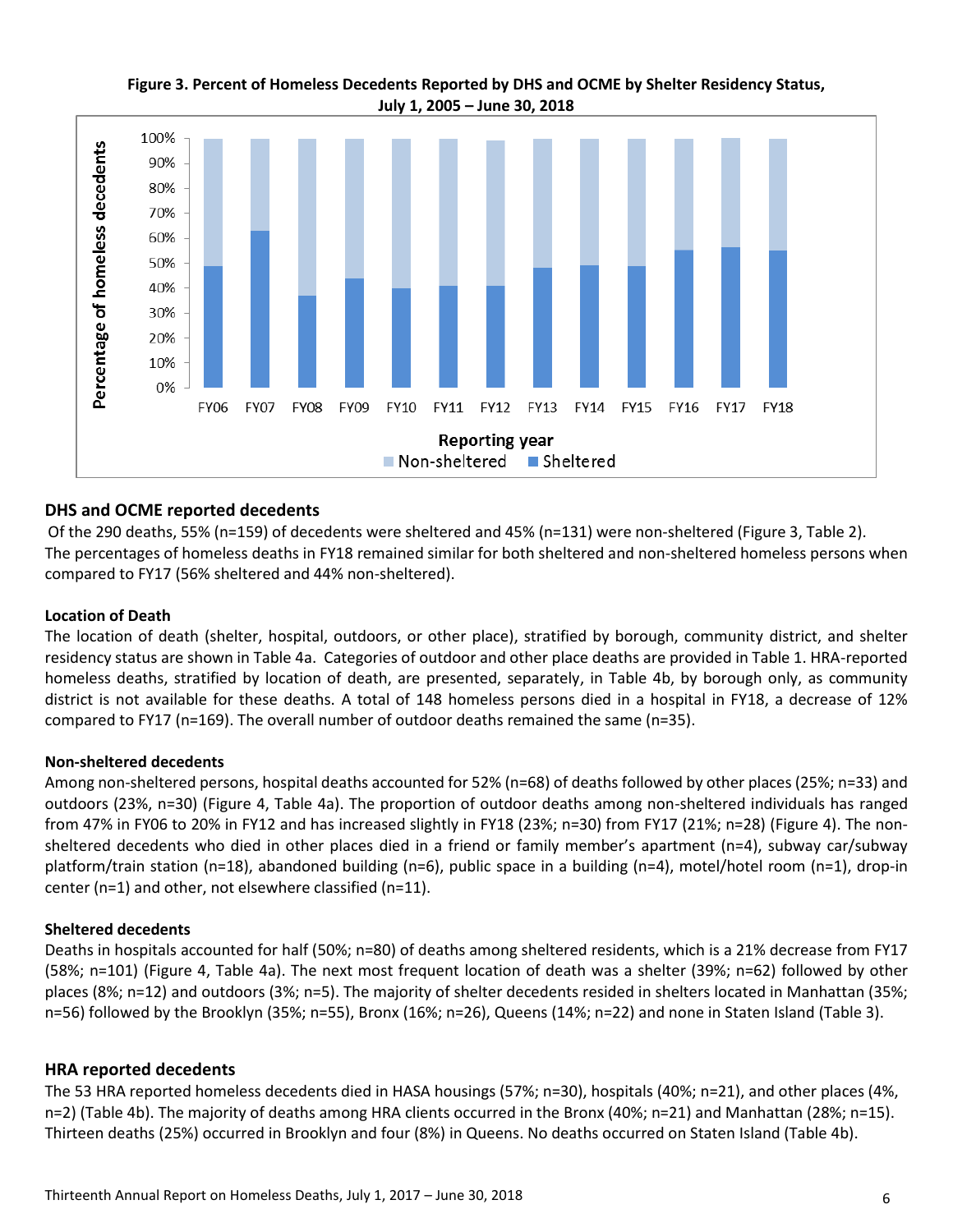

### **Figure 3. Percent of Homeless Decedents Reported by DHS and OCME by Shelter Residency Status, July 1, 2005 – June 30, 2018**

### **DHS and OCME reported decedents**

Of the 290 deaths, 55% (n=159) of decedents were sheltered and 45% (n=131) were non-sheltered (Figure 3, Table 2). The percentages of homeless deaths in FY18 remained similar for both sheltered and non-sheltered homeless persons when compared to FY17 (56% sheltered and 44% non-sheltered).

#### **Location of Death**

The location of death (shelter, hospital, outdoors, or other place), stratified by borough, community district, and shelter residency status are shown in Table 4a. Categories of outdoor and other place deaths are provided in Table 1. HRA-reported homeless deaths, stratified by location of death, are presented, separately, in Table 4b, by borough only, as community district is not available for these deaths. A total of 148 homeless persons died in a hospital in FY18, a decrease of 12% compared to FY17 (n=169). The overall number of outdoor deaths remained the same (n=35).

#### **Non-sheltered decedents**

Among non-sheltered persons, hospital deaths accounted for 52% (n=68) of deaths followed by other places (25%; n=33) and outdoors (23%, n=30) (Figure 4, Table 4a). The proportion of outdoor deaths among non-sheltered individuals has ranged from 47% in FY06 to 20% in FY12 and has increased slightly in FY18 (23%; n=30) from FY17 (21%; n=28) (Figure 4). The nonsheltered decedents who died in other places died in a friend or family member's apartment (n=4), subway car/subway platform/train station (n=18), abandoned building (n=6), public space in a building (n=4), motel/hotel room (n=1), drop-in center (n=1) and other, not elsewhere classified (n=11).

#### **Sheltered decedents**

Deaths in hospitals accounted for half (50%; n=80) of deaths among sheltered residents, which is a 21% decrease from FY17 (58%; n=101) (Figure 4, Table 4a). The next most frequent location of death was a shelter (39%; n=62) followed by other places (8%; n=12) and outdoors (3%; n=5). The majority of shelter decedents resided in shelters located in Manhattan (35%; n=56) followed by the Brooklyn (35%; n=55), Bronx (16%; n=26), Queens (14%; n=22) and none in Staten Island (Table 3).

#### **HRA reported decedents**

The 53 HRA reported homeless decedents died in HASA housings (57%; n=30), hospitals (40%; n=21), and other places (4%, n=2) (Table 4b). The majority of deaths among HRA clients occurred in the Bronx (40%; n=21) and Manhattan (28%; n=15). Thirteen deaths (25%) occurred in Brooklyn and four (8%) in Queens. No deaths occurred on Staten Island (Table 4b).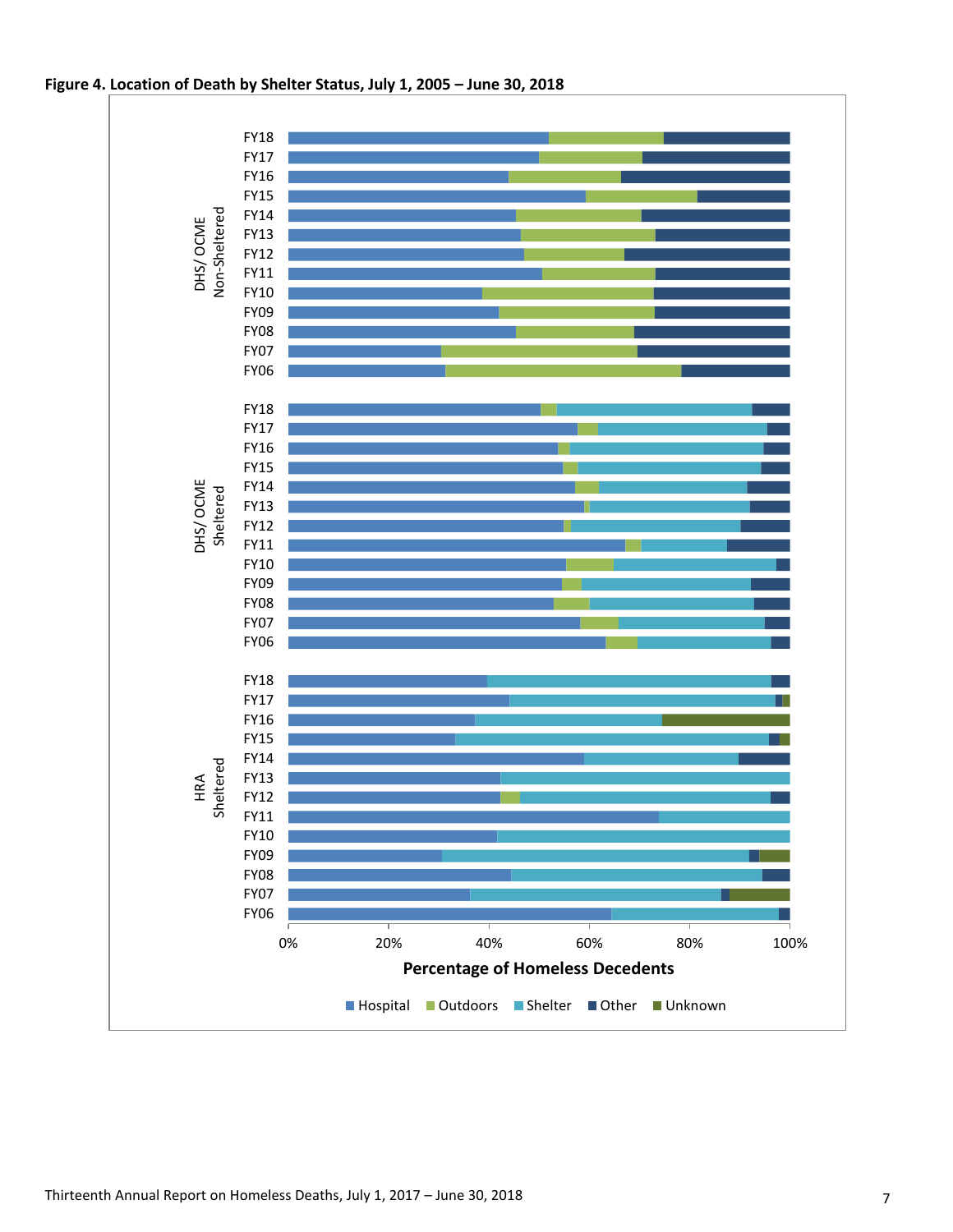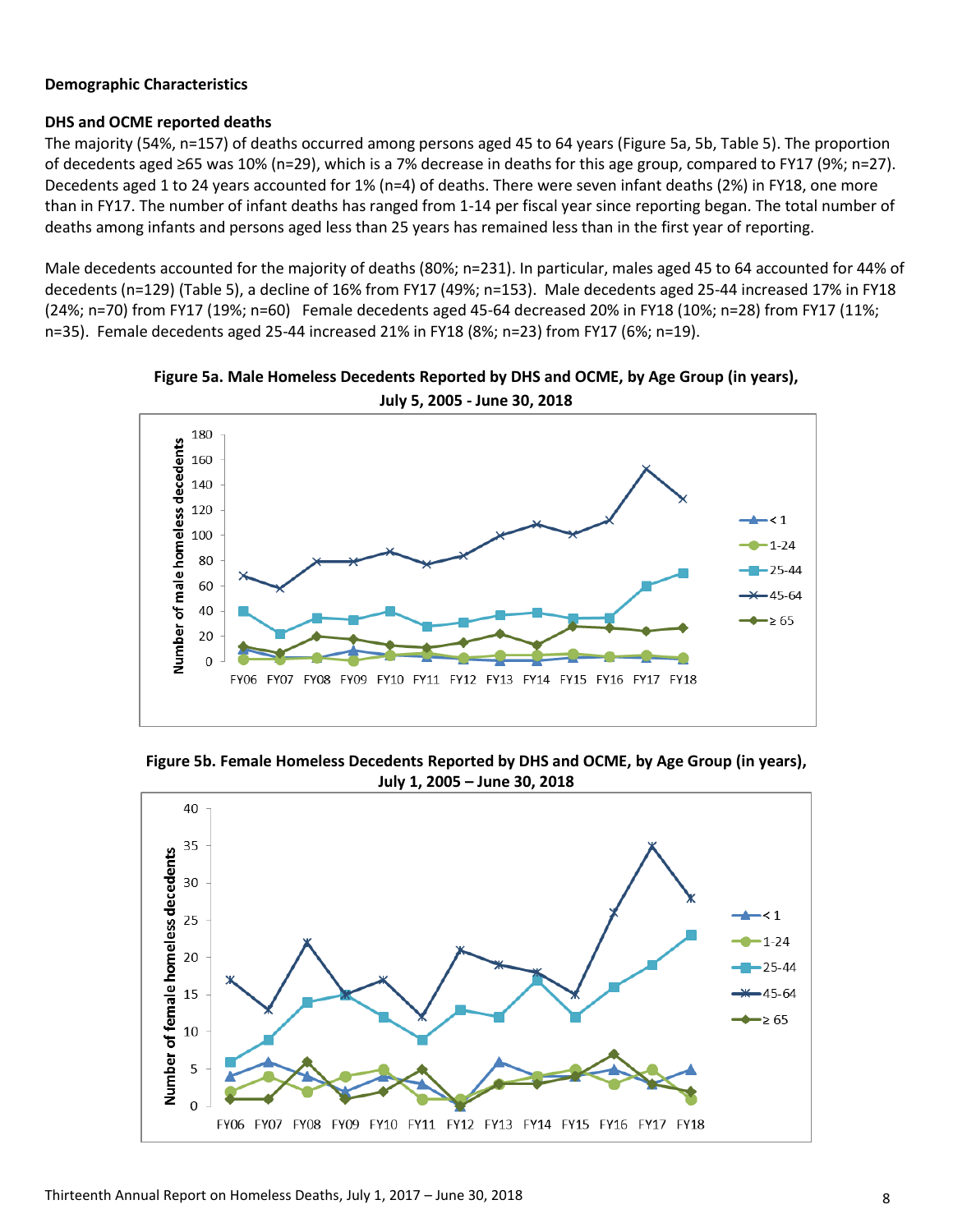#### **Demographic Characteristics**

#### **DHS and OCME reported deaths**

The majority (54%, n=157) of deaths occurred among persons aged 45 to 64 years (Figure 5a, 5b, Table 5). The proportion of decedents aged ≥65 was 10% (n=29), which is a 7% decrease in deaths for this age group, compared to FY17 (9%; n=27). Decedents aged 1 to 24 years accounted for 1% (n=4) of deaths. There were seven infant deaths (2%) in FY18, one more than in FY17. The number of infant deaths has ranged from 1-14 per fiscal year since reporting began. The total number of deaths among infants and persons aged less than 25 years has remained less than in the first year of reporting.

Male decedents accounted for the majority of deaths (80%; n=231). In particular, males aged 45 to 64 accounted for 44% of decedents (n=129) (Table 5), a decline of 16% from FY17 (49%; n=153). Male decedents aged 25-44 increased 17% in FY18 (24%; n=70) from FY17 (19%; n=60) Female decedents aged 45-64 decreased 20% in FY18 (10%; n=28) from FY17 (11%; n=35). Female decedents aged 25-44 increased 21% in FY18 (8%; n=23) from FY17 (6%; n=19).



**Figure 5a. Male Homeless Decedents Reported by DHS and OCME, by Age Group (in years), July 5, 2005 - June 30, 2018**

**Figure 5b. Female Homeless Decedents Reported by DHS and OCME, by Age Group (in years), July 1, 2005 – June 30, 2018**

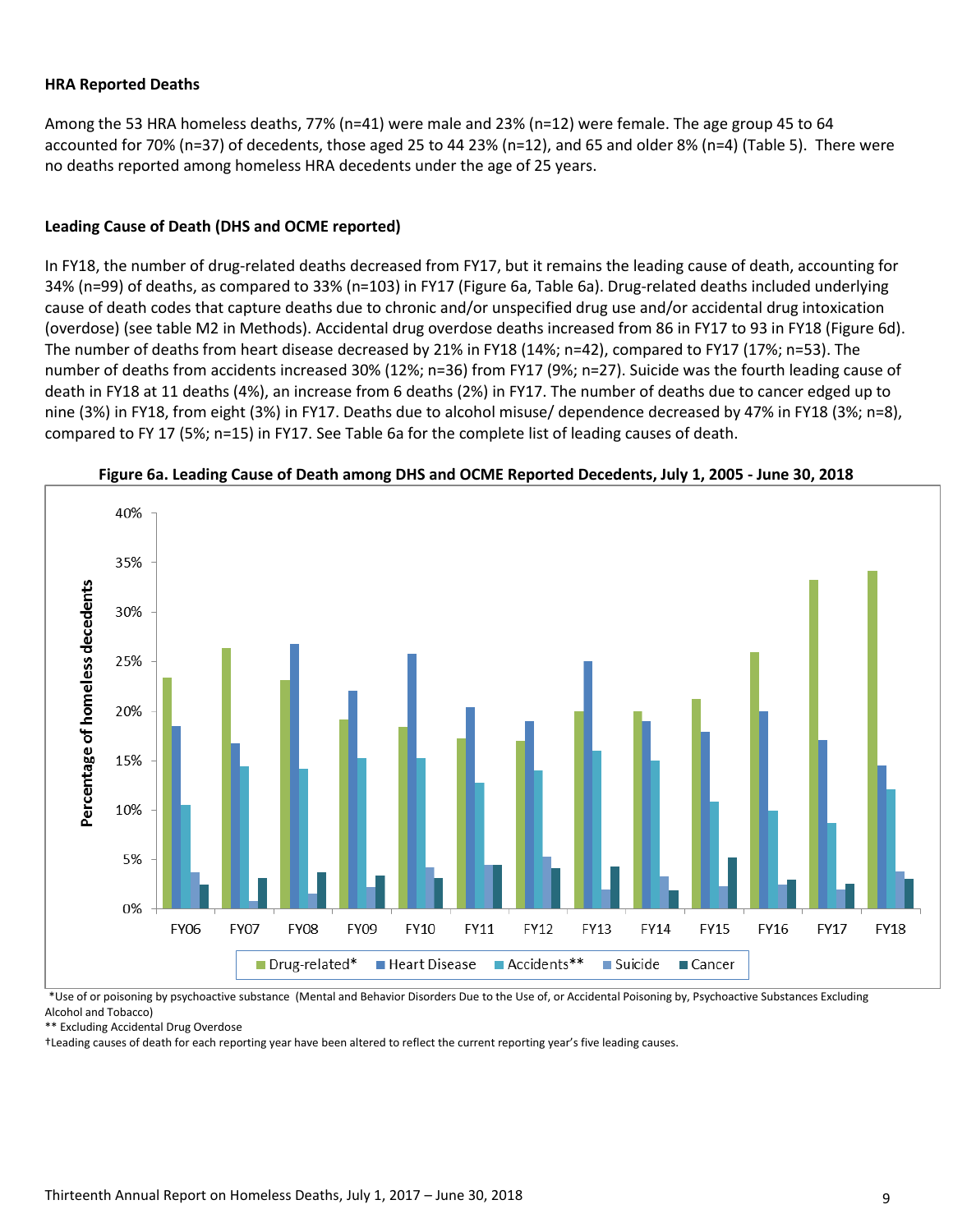#### **HRA Reported Deaths**

Among the 53 HRA homeless deaths, 77% (n=41) were male and 23% (n=12) were female. The age group 45 to 64 accounted for 70% (n=37) of decedents, those aged 25 to 44 23% (n=12), and 65 and older 8% (n=4) (Table 5). There were no deaths reported among homeless HRA decedents under the age of 25 years.

#### **Leading Cause of Death (DHS and OCME reported)**

In FY18, the number of drug-related deaths decreased from FY17, but it remains the leading cause of death, accounting for 34% (n=99) of deaths, as compared to 33% (n=103) in FY17 (Figure 6a, Table 6a). Drug-related deaths included underlying cause of death codes that capture deaths due to chronic and/or unspecified drug use and/or accidental drug intoxication (overdose) (see table M2 in Methods). Accidental drug overdose deaths increased from 86 in FY17 to 93 in FY18 (Figure 6d). The number of deaths from heart disease decreased by 21% in FY18 (14%; n=42), compared to FY17 (17%; n=53). The number of deaths from accidents increased 30% (12%; n=36) from FY17 (9%; n=27). Suicide was the fourth leading cause of death in FY18 at 11 deaths (4%), an increase from 6 deaths (2%) in FY17. The number of deaths due to cancer edged up to nine (3%) in FY18, from eight (3%) in FY17. Deaths due to alcohol misuse/ dependence decreased by 47% in FY18 (3%; n=8), compared to FY 17 (5%; n=15) in FY17. See Table 6a for the complete list of leading causes of death.





\*Use of or poisoning by psychoactive substance (Mental and Behavior Disorders Due to the Use of, or Accidental Poisoning by, Psychoactive Substances Excluding Alcohol and Tobacco)

\*\* Excluding Accidental Drug Overdose

†Leading causes of death for each reporting year have been altered to reflect the current reporting year's five leading causes.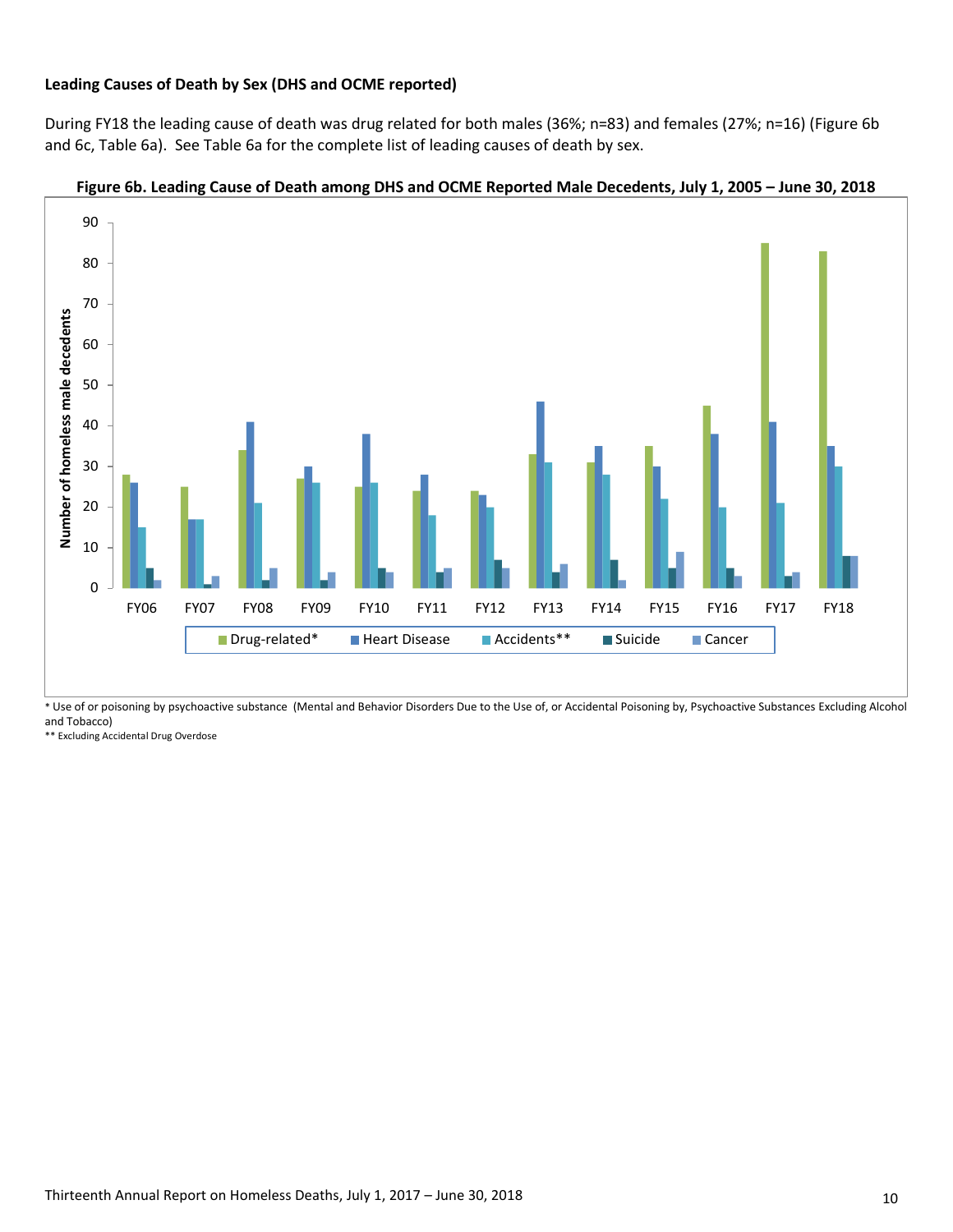#### **Leading Causes of Death by Sex (DHS and OCME reported)**

During FY18 the leading cause of death was drug related for both males (36%; n=83) and females (27%; n=16) (Figure 6b and 6c, Table 6a). See Table 6a for the complete list of leading causes of death by sex.



#### **Figure 6b. Leading Cause of Death among DHS and OCME Reported Male Decedents, July 1, 2005 – June 30, 2018**

\* Use of or poisoning by psychoactive substance (Mental and Behavior Disorders Due to the Use of, or Accidental Poisoning by, Psychoactive Substances Excluding Alcohol and Tobacco)

\*\* Excluding Accidental Drug Overdose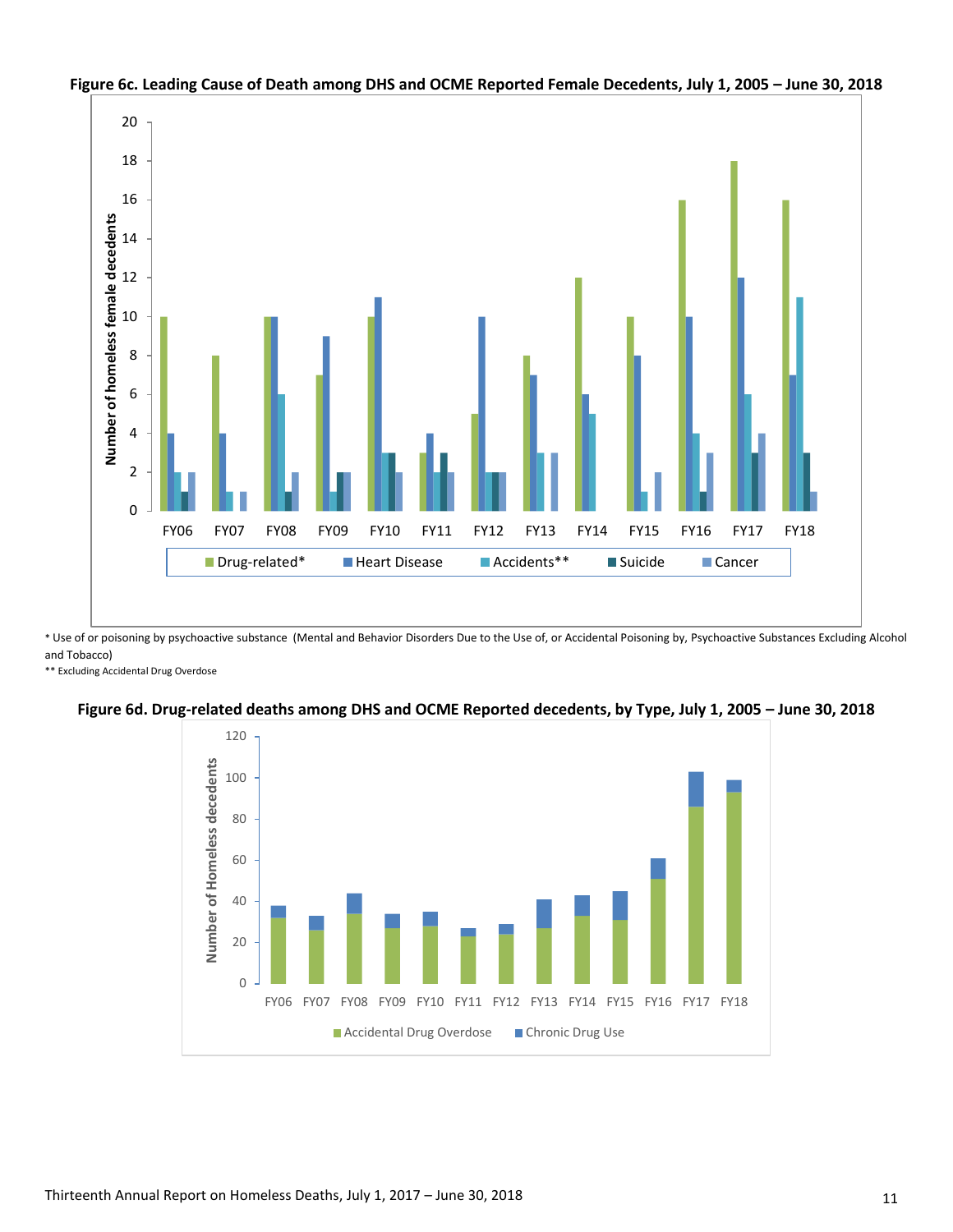

## **Figure 6c. Leading Cause of Death among DHS and OCME Reported Female Decedents, July 1, 2005 – June 30, 2018**

\* Use of or poisoning by psychoactive substance (Mental and Behavior Disorders Due to the Use of, or Accidental Poisoning by, Psychoactive Substances Excluding Alcohol and Tobacco)

\*\* Excluding Accidental Drug Overdose



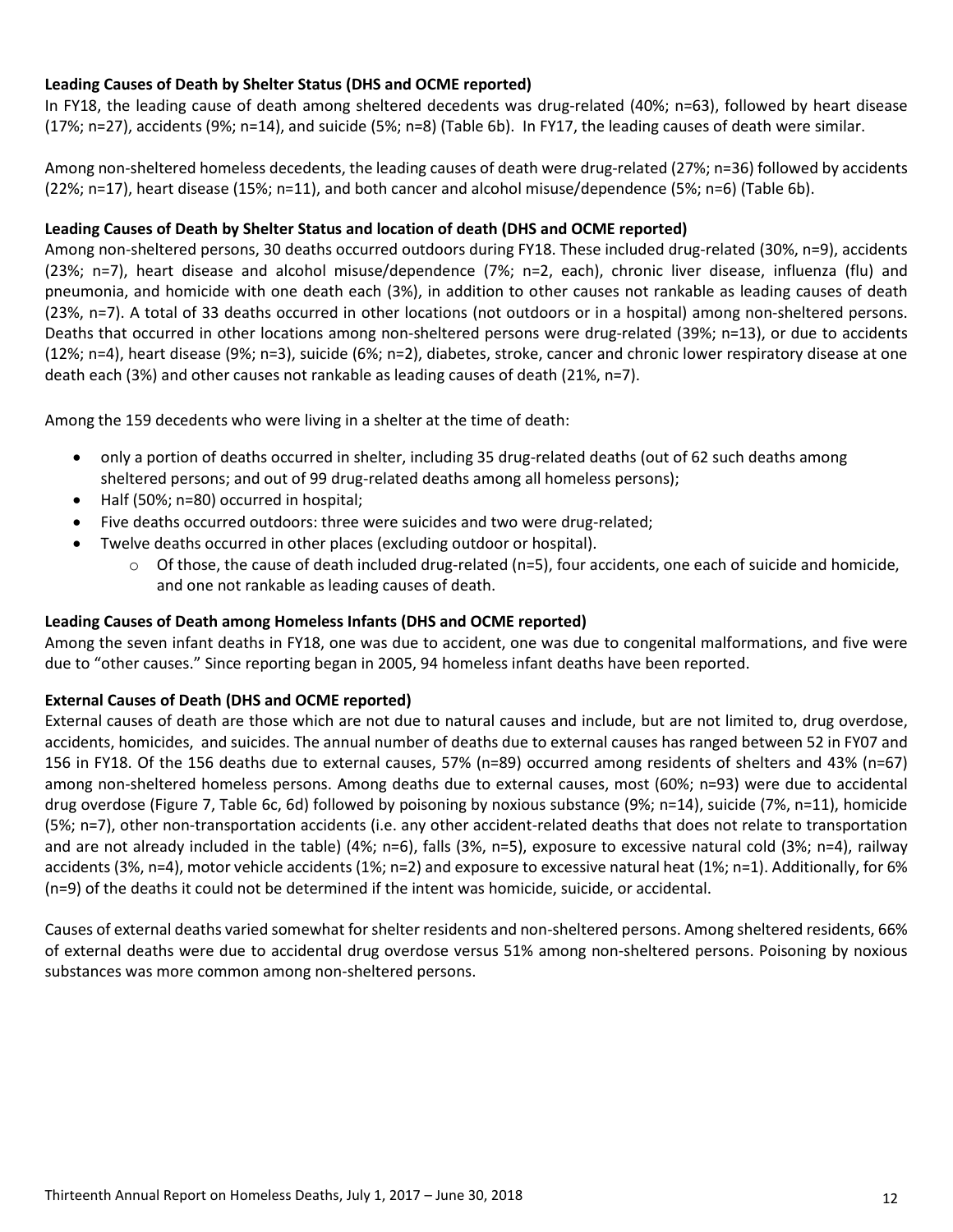## **Leading Causes of Death by Shelter Status (DHS and OCME reported)**

In FY18, the leading cause of death among sheltered decedents was drug-related (40%; n=63), followed by heart disease (17%; n=27), accidents (9%; n=14), and suicide (5%; n=8) (Table 6b). In FY17, the leading causes of death were similar.

Among non-sheltered homeless decedents, the leading causes of death were drug-related (27%; n=36) followed by accidents (22%; n=17), heart disease (15%; n=11), and both cancer and alcohol misuse/dependence (5%; n=6) (Table 6b).

#### **Leading Causes of Death by Shelter Status and location of death (DHS and OCME reported)**

Among non-sheltered persons, 30 deaths occurred outdoors during FY18. These included drug-related (30%, n=9), accidents (23%; n=7), heart disease and alcohol misuse/dependence (7%; n=2, each), chronic liver disease, influenza (flu) and pneumonia, and homicide with one death each (3%), in addition to other causes not rankable as leading causes of death (23%, n=7). A total of 33 deaths occurred in other locations (not outdoors or in a hospital) among non-sheltered persons. Deaths that occurred in other locations among non-sheltered persons were drug-related (39%; n=13), or due to accidents (12%; n=4), heart disease (9%; n=3), suicide (6%; n=2), diabetes, stroke, cancer and chronic lower respiratory disease at one death each (3%) and other causes not rankable as leading causes of death (21%, n=7).

Among the 159 decedents who were living in a shelter at the time of death:

- only a portion of deaths occurred in shelter, including 35 drug-related deaths (out of 62 such deaths among sheltered persons; and out of 99 drug-related deaths among all homeless persons);
- Half (50%; n=80) occurred in hospital;
- Five deaths occurred outdoors: three were suicides and two were drug-related;
- Twelve deaths occurred in other places (excluding outdoor or hospital).
	- o Of those, the cause of death included drug-related (n=5), four accidents, one each of suicide and homicide, and one not rankable as leading causes of death.

#### **Leading Causes of Death among Homeless Infants (DHS and OCME reported)**

Among the seven infant deaths in FY18, one was due to accident, one was due to congenital malformations, and five were due to "other causes." Since reporting began in 2005, 94 homeless infant deaths have been reported.

#### **External Causes of Death (DHS and OCME reported)**

External causes of death are those which are not due to natural causes and include, but are not limited to, drug overdose, accidents, homicides, and suicides. The annual number of deaths due to external causes has ranged between 52 in FY07 and 156 in FY18. Of the 156 deaths due to external causes, 57% (n=89) occurred among residents of shelters and 43% (n=67) among non-sheltered homeless persons. Among deaths due to external causes, most (60%; n=93) were due to accidental drug overdose (Figure 7, Table 6c, 6d) followed by poisoning by noxious substance (9%; n=14), suicide (7%, n=11), homicide (5%; n=7), other non-transportation accidents (i.e. any other accident-related deaths that does not relate to transportation and are not already included in the table) (4%; n=6), falls (3%, n=5), exposure to excessive natural cold (3%; n=4), railway accidents (3%, n=4), motor vehicle accidents (1%; n=2) and exposure to excessive natural heat (1%; n=1). Additionally, for 6% (n=9) of the deaths it could not be determined if the intent was homicide, suicide, or accidental.

Causes of external deaths varied somewhat for shelter residents and non-sheltered persons. Among sheltered residents, 66% of external deaths were due to accidental drug overdose versus 51% among non-sheltered persons. Poisoning by noxious substances was more common among non-sheltered persons.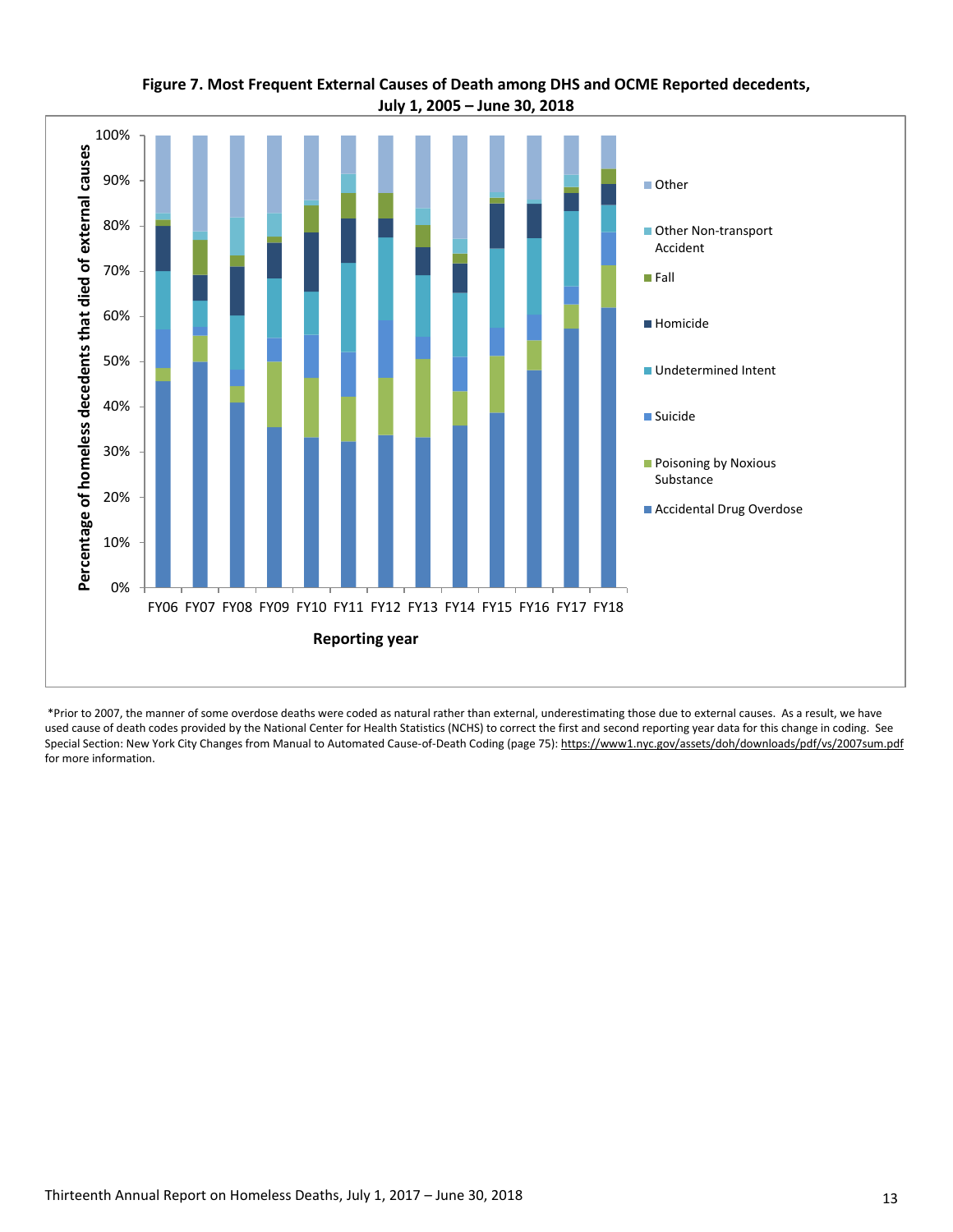

## **Figure 7. Most Frequent External Causes of Death among DHS and OCME Reported decedents, July 1, 2005 – June 30, 2018**

\*Prior to 2007, the manner of some overdose deaths were coded as natural rather than external, underestimating those due to external causes. As a result, we have used cause of death codes provided by the National Center for Health Statistics (NCHS) to correct the first and second reporting year data for this change in coding. See Special Section: New York City Changes from Manual to Automated Cause-of-Death Coding (page 75): https://www1.nyc.gov/assets/doh/downloads/pdf/vs/2007sum.pdf for more information.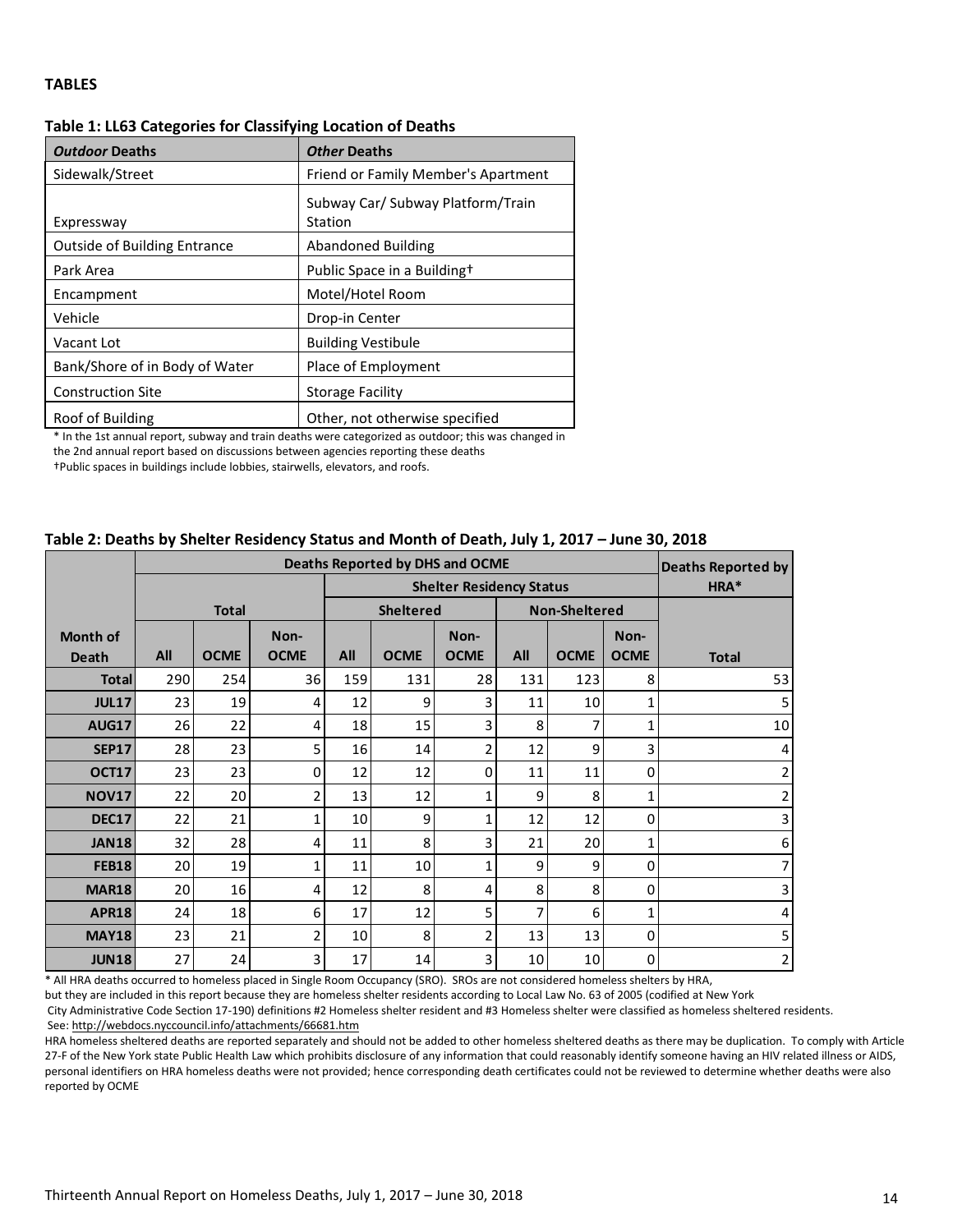#### **TABLES**

| <b>Outdoor Deaths</b>               | Other Deaths                                 |
|-------------------------------------|----------------------------------------------|
| Sidewalk/Street                     | Friend or Family Member's Apartment          |
| Expressway                          | Subway Car/ Subway Platform/Train<br>Station |
| <b>Outside of Building Entrance</b> | Abandoned Building                           |
| Park Area                           | Public Space in a Buildingt                  |
| Encampment                          | Motel/Hotel Room                             |
| Vehicle                             | Drop-in Center                               |
| Vacant Lot                          | <b>Building Vestibule</b>                    |
| Bank/Shore of in Body of Water      | Place of Employment                          |
| <b>Construction Site</b>            | <b>Storage Facility</b>                      |
| Roof of Building                    | Other, not otherwise specified               |

#### **Table 1: LL63 Categories for Classifying Location of Deaths**

\* In the 1st annual report, subway and train deaths were categorized as outdoor; this was changed in the 2nd annual report based on discussions between agencies reporting these deaths

†Public spaces in buildings include lobbies, stairwells, elevators, and roofs.

#### **Table 2: Deaths by Shelter Residency Status and Month of Death, July 1, 2017 – June 30, 2018**

|                                                                                                                                |                 | Deaths Reported by |             |     |                                 |             |                 |                      |             |                |
|--------------------------------------------------------------------------------------------------------------------------------|-----------------|--------------------|-------------|-----|---------------------------------|-------------|-----------------|----------------------|-------------|----------------|
|                                                                                                                                |                 |                    |             |     | <b>Shelter Residency Status</b> |             | HRA*            |                      |             |                |
|                                                                                                                                |                 | <b>Total</b>       |             |     | <b>Sheltered</b>                |             |                 | <b>Non-Sheltered</b> |             |                |
| <b>Month of</b>                                                                                                                |                 | Non-               |             |     |                                 | Non-        |                 |                      | Non-        |                |
| <b>Death</b>                                                                                                                   | All             | <b>OCME</b>        | <b>OCME</b> | All | <b>OCME</b>                     | <b>OCME</b> | All             | <b>OCME</b>          | <b>OCME</b> | <b>Total</b>   |
| <b>Total</b>                                                                                                                   | 290             | 254                | 36          | 159 | 131                             | 28          | 131             | 123                  | 8           | 53             |
| <b>JUL17</b>                                                                                                                   | 23              | 19                 | 4           | 12  | 9                               | 3           | 11              | 10                   |             | 5              |
| <b>AUG17</b>                                                                                                                   | 26              | 22                 | 4           | 18  | 15                              | 3           | 8               |                      | 1           | 10             |
| <b>SEP17</b>                                                                                                                   | 28              | 23                 | 5           | 16  | 14                              | 2           | 12              | 9                    | 3           | 4              |
| OCT17                                                                                                                          | 23              | 23                 | 0           | 12  | 12                              | $\mathbf 0$ | 11              | 11                   | 0           | $\overline{2}$ |
| <b>NOV17</b>                                                                                                                   | 22              | 20                 | 2           | 13  | 12                              | 1           | 9               | 8                    | 1           | $\overline{2}$ |
| <b>DEC17</b>                                                                                                                   | 22              | 21                 | 1           | 10  | 9                               | 1           | 12              | 12                   | 0           | 3              |
| <b>JAN18</b>                                                                                                                   | 32              | 28                 | 4           | 11  | 8                               | 3           | 21              | 20                   | 1           | 6              |
| <b>FEB18</b>                                                                                                                   | 20 <sup>1</sup> | 19                 | 1           | 11  | 10                              | 1           | 9               | 9                    | 0           | 7              |
| <b>MAR18</b>                                                                                                                   | 20              | 16                 | 4           | 12  | 8                               | 4           | 8               | 8                    | 0           | 3              |
| <b>APR18</b>                                                                                                                   | 24              | 18                 | 6           | 17  | 12                              | 5           | 7               | 6                    | 1           | 4              |
| <b>MAY18</b>                                                                                                                   | 23              | 21                 | 2           | 10  | 8                               | 2           | 13              | 13                   | 0           | 5              |
| <b>JUN18</b>                                                                                                                   | 27              | 24                 | 3           | 17  | 14                              | 3           | 10 <sup>1</sup> | 10                   | 0           | $\overline{2}$ |
| * All HRA deaths occurred to homeless placed in Single Room Occupancy (SRO). SROs are not considered homeless shelters by HRA, |                 |                    |             |     |                                 |             |                 |                      |             |                |

but they are included in this report because they are homeless shelter residents according to Local Law No. 63 of 2005 (codified at New York

City Administrative Code Section 17-190) definitions #2 Homeless shelter resident and #3 Homeless shelter were classified as homeless sheltered residents. See[: http://webdocs.nyccouncil.info/attachments/66681.htm](http://webdocs.nyccouncil.info/attachments/66681.htm)

HRA homeless sheltered deaths are reported separately and should not be added to other homeless sheltered deaths as there may be duplication. To comply with Article 27-F of the New York state Public Health Law which prohibits disclosure of any information that could reasonably identify someone having an HIV related illness or AIDS, personal identifiers on HRA homeless deaths were not provided; hence corresponding death certificates could not be reviewed to determine whether deaths were also reported by OCME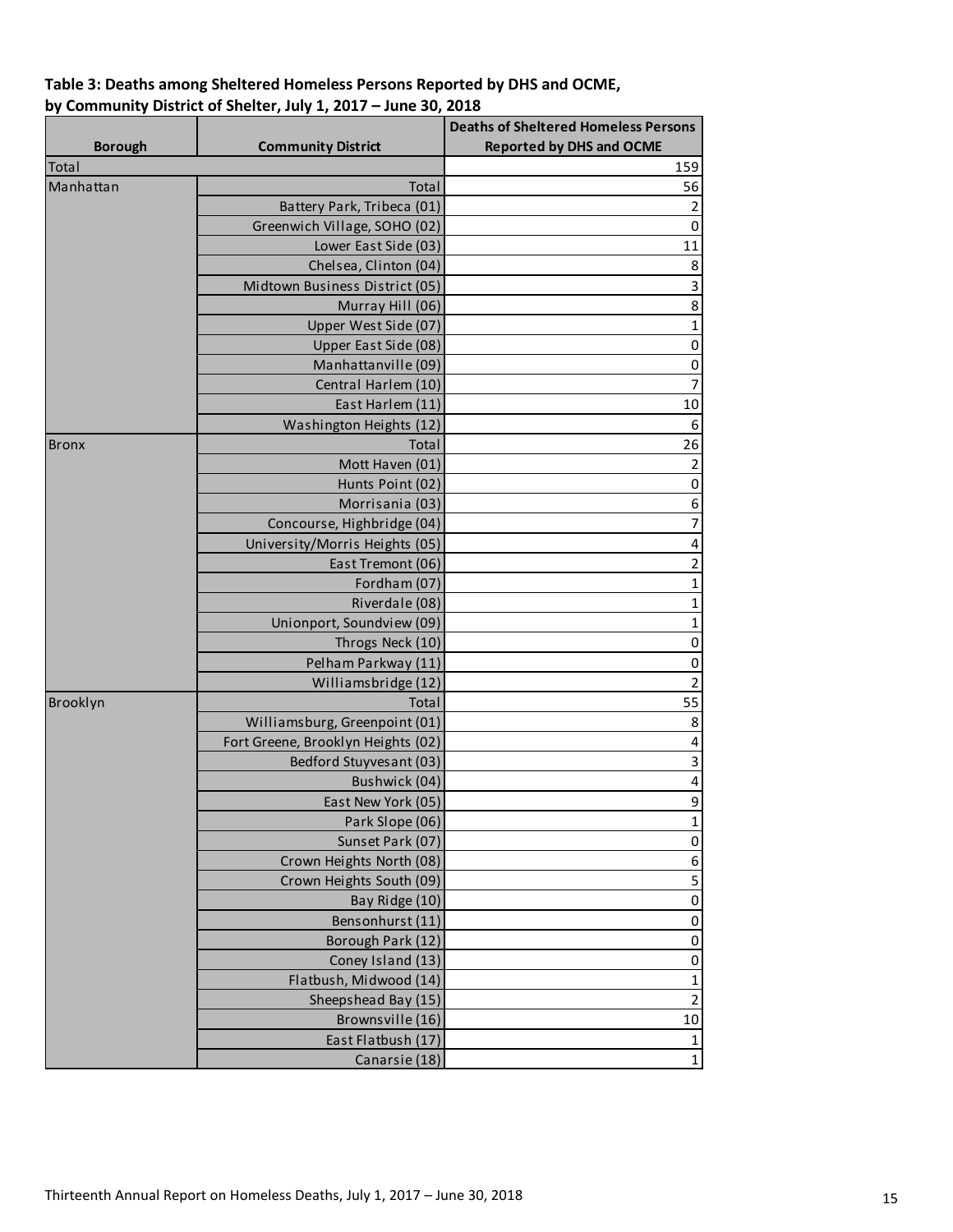## **Table 3: Deaths among Sheltered Homeless Persons Reported by DHS and OCME, by Community District of Shelter, July 1, 2017 – June 30, 2018**

|                |                                    | <b>Deaths of Sheltered Homeless Persons</b> |
|----------------|------------------------------------|---------------------------------------------|
| <b>Borough</b> | <b>Community District</b>          | <b>Reported by DHS and OCME</b>             |
| Total          |                                    | 159                                         |
| Manhattan      | Total                              | 56                                          |
|                | Battery Park, Tribeca (01)         | $\overline{2}$                              |
|                | Greenwich Village, SOHO (02)       | $\pmb{0}$                                   |
|                | Lower East Side (03)               | 11                                          |
|                | Chelsea, Clinton (04)              | $\,8\,$                                     |
|                | Midtown Business District (05)     | $\mathbf{3}$                                |
|                | Murray Hill (06)                   | 8                                           |
|                | Upper West Side (07)               | 1                                           |
|                | Upper East Side (08)               | $\pmb{0}$                                   |
|                | Manhattanville (09)                | $\pmb{0}$                                   |
|                | Central Harlem (10)                | $\overline{7}$                              |
|                | East Harlem (11)                   | $10\,$                                      |
|                | Washington Heights (12)            | $\boldsymbol{6}$                            |
| <b>Bronx</b>   | Total                              | 26                                          |
|                | Mott Haven (01)                    | 2                                           |
|                | Hunts Point (02)                   | $\pmb{0}$                                   |
|                | Morrisania (03)                    | 6                                           |
|                | Concourse, Highbridge (04)         | $\overline{7}$                              |
|                | University/Morris Heights (05)     | 4                                           |
|                | East Tremont (06)                  | $\overline{2}$                              |
|                | Fordham (07)                       | 1                                           |
|                | Riverdale (08)                     | 1                                           |
|                | Unionport, Soundview (09)          | 1                                           |
|                | Throgs Neck (10)                   | $\pmb{0}$                                   |
|                | Pelham Parkway (11)                | $\pmb{0}$                                   |
|                | Williamsbridge (12)                | $\mathbf 2$                                 |
| Brooklyn       | Total                              | 55                                          |
|                | Williamsburg, Greenpoint (01)      | 8                                           |
|                | Fort Greene, Brooklyn Heights (02) | 4                                           |
|                | Bedford Stuyvesant (03)            | 3                                           |
|                | Bushwick (04)                      | 4                                           |
|                | East New York (05)                 | 9                                           |
|                | Park Slope (06)                    | $\mathbf 1$                                 |
|                | Sunset Park (07)                   | $\pmb{0}$                                   |
|                | Crown Heights North (08)           | 6                                           |
|                | Crown Heights South (09)           | 5                                           |
|                | Bay Ridge (10)                     | $\pmb{0}$                                   |
|                | Bensonhurst (11)                   |                                             |
|                |                                    | 0                                           |
|                | Borough Park (12)                  | 0                                           |
|                | Coney Island (13)                  | 0                                           |
|                | Flatbush, Midwood (14)             | $\mathbf 1$                                 |
|                | Sheepshead Bay (15)                | $\overline{2}$                              |
|                | Brownsville (16)                   | $10\,$                                      |
|                | East Flatbush (17)                 | $\mathbf 1$                                 |
|                | Canarsie (18)                      | $\mathbf 1$                                 |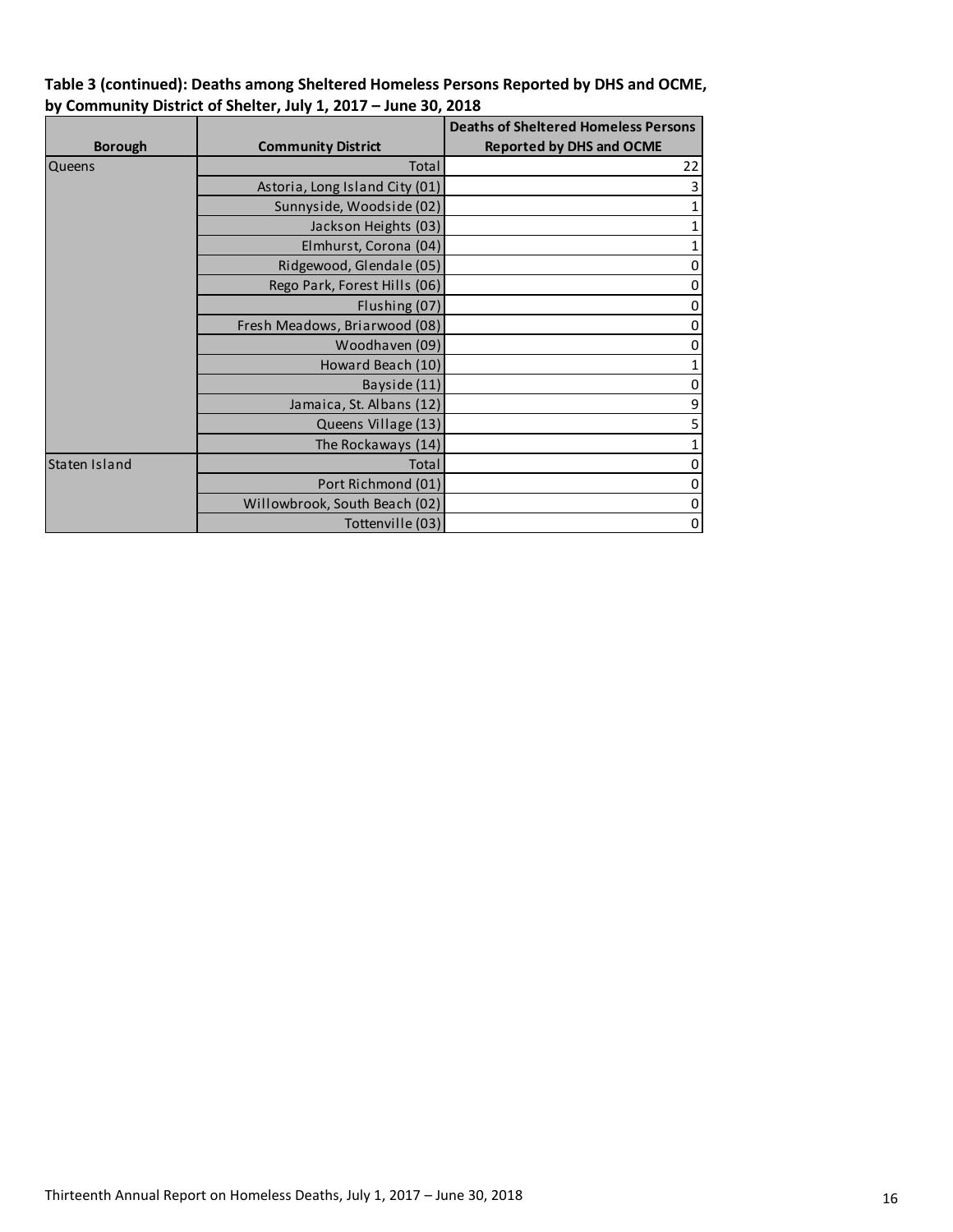| Table 3 (continued): Deaths among Sheltered Homeless Persons Reported by DHS and OCME, |
|----------------------------------------------------------------------------------------|
| by Community District of Shelter, July 1, 2017 - June 30, 2018                         |

|                |                                | <b>Deaths of Sheltered Homeless Persons</b> |
|----------------|--------------------------------|---------------------------------------------|
| <b>Borough</b> | <b>Community District</b>      | <b>Reported by DHS and OCME</b>             |
| Queens         | Total                          | 22                                          |
|                | Astoria, Long Island City (01) | 3                                           |
|                | Sunnyside, Woodside (02)       | 1                                           |
|                | Jackson Heights (03)           | 1                                           |
|                | Elmhurst, Corona (04)          | 1                                           |
|                | Ridgewood, Glendale (05)       | $\mathbf{0}$                                |
|                | Rego Park, Forest Hills (06)   | $\overline{0}$                              |
|                | Flushing (07)                  | $\mathbf{0}$                                |
|                | Fresh Meadows, Briarwood (08)  | $\overline{0}$                              |
|                | Woodhaven (09)                 | $\mathbf{0}$                                |
|                | Howard Beach (10)              | 1                                           |
|                | Bayside (11)                   | $\mathbf{0}$                                |
|                | Jamaica, St. Albans (12)       | 9                                           |
|                | Queens Village (13)            | 5                                           |
|                | The Rockaways (14)             | 1                                           |
| Staten Island  | Total                          | $\overline{0}$                              |
|                | Port Richmond (01)             | $\overline{0}$                              |
|                | Willowbrook, South Beach (02)  | $\overline{0}$                              |
|                | Tottenville (03)               | $\mathbf{0}$                                |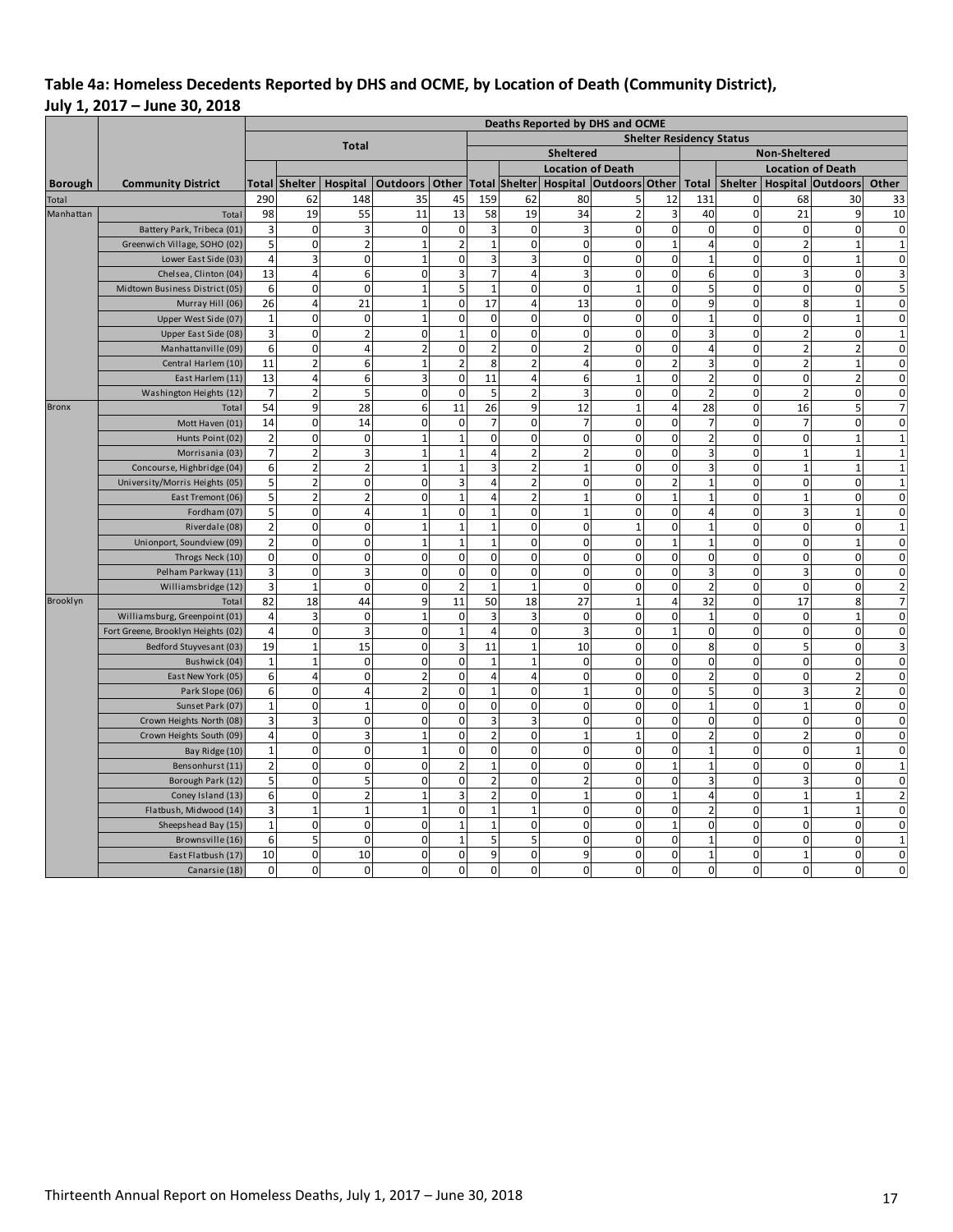## **Table 4a: Homeless Decedents Reported by DHS and OCME, by Location of Death (Community District), July 1, 2017 – June 30, 2018**

|                |                                          | Deaths Reported by DHS and OCME                 |                         |                         |                          |                                |                      |                             |                               |                         |                             |                          |                         |                  |                            |                                        |  |  |
|----------------|------------------------------------------|-------------------------------------------------|-------------------------|-------------------------|--------------------------|--------------------------------|----------------------|-----------------------------|-------------------------------|-------------------------|-----------------------------|--------------------------|-------------------------|------------------|----------------------------|----------------------------------------|--|--|
|                |                                          | <b>Shelter Residency Status</b><br><b>Total</b> |                         |                         |                          |                                |                      |                             |                               |                         |                             |                          |                         |                  |                            |                                        |  |  |
|                |                                          |                                                 |                         |                         |                          |                                |                      |                             | <b>Sheltered</b>              |                         |                             | Non-Sheltered            |                         |                  |                            |                                        |  |  |
|                |                                          |                                                 |                         |                         |                          |                                |                      |                             | <b>Location of Death</b>      |                         |                             |                          |                         |                  | <b>Location of Death</b>   |                                        |  |  |
| <b>Borough</b> | <b>Community District</b>                | Total                                           | <b>Shelter</b>          | Hospital                | <b>Outdoors</b>          | Other                          |                      | Total Shelter               |                               | Hospital Outdoors Other |                             | <b>Total</b>             | Shelter                 |                  | <b>Hospital Outdoors</b>   | Other                                  |  |  |
| Total          |                                          | 290                                             | 62                      | 148                     | 35                       | 45                             | 159                  | 62                          | 80                            | 5                       | 12                          | 131                      | 0                       | 68               | 30                         | 33                                     |  |  |
| Manhattan      | Total                                    | 98                                              | 19                      | 55                      | 11                       | 13                             | 58                   | 19                          | 34                            | $\overline{2}$          | 3                           | 40                       | $\mathbf 0$             | 21               | 9                          | 10                                     |  |  |
|                | Battery Park, Tribeca (01)               | 3                                               | $\mathbf{0}$            | 3                       | $\mathbf 0$              | $\mathbf 0$                    | 3                    | $\mathbf 0$                 | $\overline{3}$                | $\mathbf 0$             | $\mathbf 0$                 | $\mathbf 0$              | $\mathbf 0$             | $\mathbf 0$      | $\mathbf 0$                | $\overline{0}$                         |  |  |
|                | Greenwich Village, SOHO (02)             | 5                                               | 0                       | $\overline{2}$          | $\mathbf{1}$             | $\overline{2}$                 | $\mathbf{1}$         | $\mathbf 0$                 | $\mathbf 0$                   | $\mathbf{0}$            | $\mathbf{1}$                | $\overline{4}$           | $\overline{0}$          | $\overline{2}$   | $\mathbf{1}$               | $\mathbf{1}$                           |  |  |
|                | Lower East Side (03)                     | $\overline{4}$                                  | 3                       | 0                       | $\mathbf{1}$             | $\mathbf 0$                    | 3                    | 3                           | $\Omega$                      | $\mathbf 0$             | $\mathbf 0$                 | $\overline{1}$           | $\overline{0}$          | $\Omega$         | $\overline{1}$             | $\mathbf 0$                            |  |  |
|                | Chelsea, Clinton (04)                    | 13                                              | 4                       | 6                       | $\Omega$                 | 3                              | 7                    | $\overline{4}$              | 3                             | $\Omega$                | $\Omega$                    | 6                        | $\Omega$                | 3                | $\Omega$                   | $\overline{\mathbf{3}}$                |  |  |
|                | Midtown Business District (05)           | 6                                               | $\Omega$                | $\Omega$                | 1                        | 5                              |                      | $\Omega$                    | $\Omega$                      | $\mathbf{1}$            | $\Omega$                    | 5                        | $\Omega$                | $\Omega$         | $\Omega$                   | 5 <sub>l</sub>                         |  |  |
|                | Murray Hill (06)                         | 26                                              | $\overline{\mathbf{4}}$ | 21                      | 1                        | $\mathbf 0$                    | 17                   | $\overline{4}$              | 13                            | $\pmb{0}$               | $\mathbf 0$                 | 9                        | $\mathbf 0$             | 8                | $\overline{1}$             | $\mathbf 0$                            |  |  |
|                | Upper West Side (07)                     | $\mathbf{1}$                                    | 0                       | $\pmb{0}$               | $\mathbf{1}$             | $\mathbf 0$                    | $\mathbf 0$          | $\Omega$                    | $\mathbf 0$                   | $\Omega$                | $\mathbf 0$                 | $\overline{1}$           | $\mathbf 0$             | $\mathbf 0$      | $\mathbf{1}$               | $\mathbf 0$                            |  |  |
|                | Upper East Side (08)                     | $\overline{3}$                                  | 0                       | $\overline{\mathbf{c}}$ | $\mathbf 0$              | $\mathbf{1}$                   | 0                    | $\mathbf 0$                 | $\mathbf 0$                   | $\pmb{0}$               | $\mathbf 0$                 | $\overline{3}$           | $\mathbf 0$             | $\overline{2}$   | $\mathbf 0$                | $\mathbf{1}$                           |  |  |
|                | Manhattanville (09)                      | 6                                               | 0                       | 4                       | $\overline{2}$           | $\mathbf 0$                    | $\overline{2}$       | $\mathbf 0$                 | $\overline{2}$                | $\mathbf{0}$            | $\mathbf 0$                 | $\overline{4}$           | $\mathbf 0$             | $\overline{2}$   | $\overline{2}$             | $\mathbf 0$                            |  |  |
|                | Central Harlem (10)                      | 11                                              | $\overline{2}$          | 6                       | $\mathbf{1}$             | $\overline{2}$                 | 8                    | $\overline{2}$              | $\overline{4}$                | $\mathbf 0$             | $\overline{2}$              | 3                        | 0                       | $\overline{2}$   | $\mathbf{1}$               | $\mathbf 0$                            |  |  |
|                | East Harlem (11)                         | 13                                              | 4                       | 6                       | 3                        | $\mathbf 0$                    | 11                   | $\overline{4}$              | 6                             | $\mathbf{1}$            | $\mathbf 0$                 | $\overline{2}$           | $\mathbf 0$             | $\mathbf 0$      | $\overline{2}$             | $\mathbf 0$                            |  |  |
|                | Washington Heights (12)                  | 7                                               | 2                       | 5                       | $\mathbf 0$              | $\mathbf 0$                    | 5                    | $\overline{2}$              | 3                             | $\mathbf 0$             | 0                           | $\overline{2}$           | 0                       | $\overline{2}$   | $\mathbf 0$                | $\mathbf 0$                            |  |  |
| <b>Bronx</b>   | Total                                    | 54                                              | 9                       | 28                      | 6                        | 11                             | 26                   | 9                           | 12                            | $\mathbf{1}$            | $\overline{4}$              | 28                       | $\mathbf 0$             | 16               | 5                          | $\overline{7}$                         |  |  |
|                | Mott Haven (01)                          | 14                                              | $\mathbf{0}$            | 14                      | $\mathbf 0$              | $\mathbf 0$                    | $\overline{7}$       | $\mathbf 0$                 | $\overline{7}$                | $\mathbf 0$             | $\mathbf 0$                 | $\overline{7}$           | $\mathbf 0$             | $\overline{7}$   | $\mathbf 0$                | $\mathbf 0$                            |  |  |
|                | Hunts Point (02)                         | $\overline{2}$                                  | $\mathbf{0}$            | $\mathbf 0$             | $\mathbf{1}$             | $\mathbf{1}$                   | $\mathbf 0$          | $\mathbf 0$                 | $\mathbf 0$                   | $\mathbf 0$             | $\mathbf 0$                 | $\overline{2}$           | $\overline{0}$          | $\mathbf 0$      | $\mathbf{1}$               | $\mathbf{1}$                           |  |  |
|                | Morrisania (03)                          | $\overline{7}$                                  | $\overline{2}$          | 3                       | $\mathbf{1}$             | $\mathbf{1}$                   | $\overline{4}$       | $\overline{2}$              | $\overline{2}$                | $\mathbf 0$             | $\mathbf 0$                 | $\overline{3}$           | $\mathbf 0$             | $\mathbf{1}$     | $\mathbf{1}$               | $\mathbf{1}$                           |  |  |
|                | Concourse, Highbridge (04)               | 6                                               | $\overline{2}$          | $\overline{2}$          | $\mathbf{1}$             | $\overline{1}$                 | 3                    | $\overline{2}$              |                               | $\Omega$                | $\mathbf 0$                 | $\overline{3}$           | $\mathbf 0$             | $\overline{1}$   | $\overline{1}$             | $\mathbf 1$                            |  |  |
|                | University/Morris Heights (05)           | 5                                               | $\overline{a}$          | $\Omega$                | 0                        | 3                              | 4                    | $\overline{2}$              | $\Omega$                      | $\Omega$                | $\overline{c}$              | $\mathbf{1}$             | $\mathbf 0$             | $\Omega$         | $\Omega$                   | $\mathbf{1}$                           |  |  |
|                | East Tremont (06)                        | 5                                               | $\overline{2}$          | $\overline{2}$          | $\Omega$                 | $\overline{1}$                 | 4                    | $\overline{2}$              |                               | $\mathbf{0}$            | $\overline{1}$              |                          | $\overline{0}$          | $\overline{1}$   | $\mathbf 0$                | $\mathbf 0$                            |  |  |
|                | Fordham (07)                             | 5                                               | 0                       | 4                       | $\overline{1}$           | $\mathbf 0$                    | $\mathbf{1}$         | $\mathbf 0$                 |                               | $\mathbf{0}$            | $\mathbf 0$                 | $\Delta$                 | $\overline{0}$          | $\overline{3}$   | $\mathbf{1}$               | $\overline{0}$                         |  |  |
|                | Riverdale (08)                           | $\overline{a}$                                  | $\overline{0}$          | 0                       | $\mathbf{1}$             | $\mathbf{1}$                   | $\mathbf{1}$         | $\mathbf 0$                 | $\mathbf 0$                   | $\mathbf{1}$            | $\mathbf 0$                 | $\mathbf{1}$             | $\overline{0}$          | $\mathbf 0$      | $\mathbf 0$                | $\mathbf{1}$                           |  |  |
|                | Unionport, Soundview (09)                | $\overline{2}$                                  | 0                       | 0                       | $\mathbf{1}$             | $\mathbf{1}$                   | $\mathbf{1}$         | $\mathbf 0$                 | $\mathbf 0$                   | $\mathbf{0}$            | $\mathbf{1}$                | $\mathbf{1}$             | $\mathbf 0$             | $\mathbf 0$      | $\mathbf{1}$               | $\mathbf 0$                            |  |  |
|                | Throgs Neck (10)                         | $\mathbf 0$                                     | 0                       | 0                       | 0                        | $\mathbf 0$                    | $\mathbf 0$          | $\mathbf 0$                 | $\mathbf 0$                   | $\mathbf 0$             | $\mathbf 0$                 | $\mathbf 0$              | $\overline{0}$          | $\mathbf 0$      | $\mathbf 0$                | $\mathbf 0$                            |  |  |
|                | Pelham Parkway (11)                      | 3                                               | 0                       | 3                       | $\mathbf 0$              | $\mathbf 0$                    | $\mathbf 0$          | $\mathbf 0$                 | $\Omega$                      | $\mathbf 0$             | $\mathbf 0$                 | $\overline{3}$           | $\mathbf 0$             | 3                | $\mathbf 0$                | $\mathbf 0$                            |  |  |
|                | Williamsbridge (12)                      | 3                                               | $\mathbf{1}$            | 0                       | $\mathbf 0$              | $\overline{2}$                 | $\mathbf{1}$         | $\mathbf{1}$                | $\mathbf 0$                   | $\mathbf 0$             | $\mathbf 0$                 | $\overline{2}$           | $\mathbf 0$             | $\mathbf 0$      | $\mathbf 0$                | $\overline{2}$                         |  |  |
| Brooklyn       | Total                                    | 82                                              | 18                      | 44                      | 9                        | 11                             | 50                   | 18                          | 27                            | $\mathbf{1}$            | $\overline{4}$              | 32                       | $\mathbf 0$<br>$\Omega$ | 17               | 8                          | $\overline{7}$                         |  |  |
|                | Williamsburg, Greenpoint (01)            | $\overline{4}$                                  | 3<br>$\Omega$           | 0<br>$\overline{3}$     | $\mathbf{1}$<br>$\Omega$ | $\mathbf 0$                    | 3                    | 3                           | $\mathbf 0$<br>$\overline{3}$ | $\Omega$<br>$\Omega$    | $\mathbf 0$                 | $\mathbf{1}$<br>$\Omega$ | $\Omega$                | $\mathbf 0$      | $\mathbf{1}$               | $\overline{0}$                         |  |  |
|                | Fort Greene, Brooklyn Heights (02)       | $\overline{4}$<br>19                            | $\overline{1}$          | 15                      | $\mathbf 0$              | $\mathbf{1}$<br>$\overline{3}$ | $\overline{4}$<br>11 | $\mathbf 0$<br>$\mathbf{1}$ | 10                            | $\mathbf 0$             | $\mathbf{1}$<br>$\mathbf 0$ | 8                        | $\mathbf 0$             | $\mathbf 0$<br>5 | $\mathbf 0$<br>$\mathbf 0$ | $\mathbf 0$<br>$\overline{\mathbf{3}}$ |  |  |
|                | Bedford Stuyvesant (03)<br>Bushwick (04) | $\mathbf{1}$                                    | $\mathbf 1$             | $\mathbf 0$             | $\mathbf 0$              | $\mathbf 0$                    | $\mathbf{1}$         | $\mathbf{1}$                | $\mathbf 0$                   | $\mathbf 0$             | $\mathbf 0$                 | $\mathbf 0$              | $\mathbf 0$             | $\mathbf 0$      | $\mathbf 0$                | $\mathbf 0$                            |  |  |
|                | East New York (05)                       | 6                                               | 4                       | 0                       | $\overline{2}$           | $\mathbf 0$                    | 4                    | $\overline{4}$              | $\mathbf 0$                   | $\pmb{0}$               | $\mathbf 0$                 | $\overline{2}$           | $\mathbf 0$             | $\mathbf 0$      | $\overline{2}$             | $\mathbf 0$                            |  |  |
|                | Park Slope (06)                          | 6                                               | $\mathbf{0}$            | $\overline{\mathbf{4}}$ | $\overline{2}$           | $\mathbf 0$                    | $\mathbf{1}$         | $\mathbf 0$                 |                               | $\mathbf 0$             | $\mathbf 0$                 | 5                        | $\mathbf 0$             | 3                | $\overline{2}$             | $\mathbf 0$                            |  |  |
|                | Sunset Park (07)                         | $\mathbf{1}$                                    | 0                       | 1                       | 0                        | $\mathbf 0$                    | 0                    | $\mathbf 0$                 | $\mathbf 0$                   | $\Omega$                | $\mathbf 0$                 | 1                        | $\overline{0}$          | $\mathbf{1}$     | $\mathbf 0$                | $\mathbf 0$                            |  |  |
|                | Crown Heights North (08)                 | 3                                               | 3                       | 0                       | $\Omega$                 | $\mathbf 0$                    | 3                    | 3                           | $\mathbf 0$                   | $\mathbf{0}$            | $\overline{0}$              | $\Omega$                 | $\overline{0}$          | $\mathbf 0$      | $\mathbf 0$                | $\mathbf 0$                            |  |  |
|                | Crown Heights South (09)                 | $\overline{\mathcal{L}}$                        | 0                       | 3                       | $\mathbf{1}$             | $\mathbf 0$                    | $\overline{2}$       | $\mathbf 0$                 |                               | $\mathbf{1}$            | $\overline{0}$              | $\overline{a}$           | $\overline{0}$          | $\overline{2}$   | $\mathbf 0$                | $\mathbf 0$                            |  |  |
|                | Bay Ridge (10)                           | $\mathbf{1}$                                    | 0                       | 0                       | $\mathbf{1}$             | $\mathbf 0$                    | 0                    | $\mathbf 0$                 | $\mathbf 0$                   | $\mathbf{0}$            | $\mathbf 0$                 | $\mathbf{1}$             | $\overline{0}$          | $\mathbf 0$      | $\mathbf{1}$               | $\mathbf 0$                            |  |  |
|                | Bensonhurst (11)                         | $\overline{2}$                                  | 0                       | 0                       | $\mathbf 0$              | $\overline{2}$                 | $\mathbf{1}$         | $\mathbf 0$                 | $\mathbf 0$                   | $\mathbf{0}$            | $\mathbf{1}$                | $\overline{1}$           | $\mathbf 0$             | $\mathbf 0$      | $\mathbf 0$                | $\mathbf{1}$                           |  |  |
|                | Borough Park (12)                        | 5                                               | 0                       | 5                       | $\mathbf 0$              | $\mathbf 0$                    | $\overline{2}$       | $\mathbf 0$                 | $\overline{2}$                | $\mathbf 0$             | $\mathbf 0$                 | $\overline{3}$           | $\overline{0}$          | 3                | $\mathbf 0$                | $\mathbf 0$                            |  |  |
|                | Coney Island (13)                        | 6                                               | 0                       | $\overline{\mathbf{c}}$ | $\mathbf{1}$             | 3                              | $\overline{2}$       | $\mathbf 0$                 | $\mathbf{1}$                  | $\pmb{0}$               | $\mathbf{1}$                | $\overline{a}$           | $\mathbf 0$             | $\mathbf{1}$     | $\mathbf{1}$               | $\overline{2}$                         |  |  |
|                | Flatbush, Midwood (14)                   | 3                                               | $\mathbf{1}$            | $\mathbf 1$             | $1\,$                    | $\mathbf 0$                    | $\mathbf{1}$         | $\mathbf{1}$                | $\mathbf 0$                   | $\mathbf 0$             | $\pmb{0}$                   | $\overline{2}$           | $\mathbf 0$             | $1\,$            | $\mathbf{1}$               | $\mathbf 0$                            |  |  |
|                | Sheepshead Bay (15)                      | $\mathbf{1}$                                    | $\pmb{0}$               | $\mathbf 0$             | $\mathbf 0$              | $\mathbf{1}$                   | $\mathbf{1}$         | $\mathbf 0$                 | $\mathbf 0$                   | $\mathbf{0}$            | $\mathbf{1}$                | $\mathbf 0$              | $\mathbf 0$             | $\mathbf 0$      | $\mathbf 0$                | $\mathbf 0$                            |  |  |
|                | Brownsville (16)                         | 6                                               | 5                       | $\mathbf 0$             | $\mathbf 0$              | $\mathbf{1}$                   | 5                    | 5                           | $\mathbf 0$                   | $\mathbf 0$             | $\mathbf 0$                 | $\mathbf{1}$             | $\mathbf 0$             | $\mathbf 0$      | $\mathbf 0$                | $\mathbf{1}$                           |  |  |
|                | East Flatbush (17)                       | 10                                              | $\mathbf 0$             | 10                      | $\mathbf 0$              | $\mathbf 0$                    | 9                    | $\mathbf 0$                 | 9                             | $\mathbf 0$             | $\mathbf 0$                 | $\mathbf{1}$             | $\overline{0}$          | $\mathbf{1}$     | $\mathbf 0$                | $\mathbf 0$                            |  |  |
|                | Canarsie (18)                            | $\mathbf 0$                                     | $\pmb{0}$               | 0                       | $\mathbf 0$              | $\mathbf 0$                    | $\mathbf 0$          | $\mathbf 0$                 | $\mathbf 0$                   | $\mathbf 0$             | $\mathbf 0$                 | $\overline{0}$           | $\mathbf 0$             | $\mathbf 0$      | $\mathbf 0$                | $\mathbf 0$                            |  |  |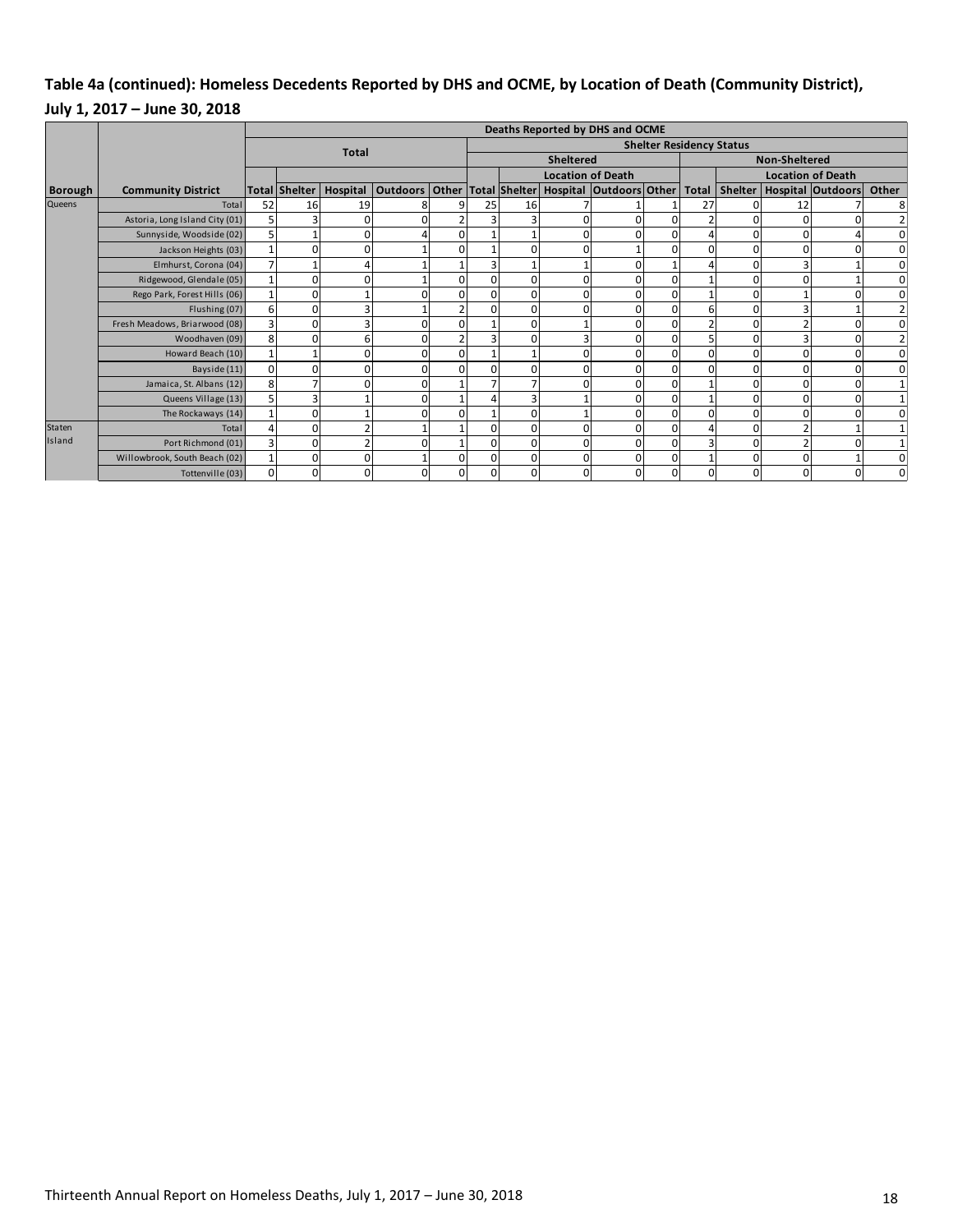## **Table 4a (continued): Homeless Decedents Reported by DHS and OCME, by Location of Death (Community District), July 1, 2017 – June 30, 2018**

|                |                                |          | Deaths Reported by DHS and OCME |              |                                                      |          |                  |          |                          |   |                                 |                      |          |    |                               |                |
|----------------|--------------------------------|----------|---------------------------------|--------------|------------------------------------------------------|----------|------------------|----------|--------------------------|---|---------------------------------|----------------------|----------|----|-------------------------------|----------------|
|                |                                |          |                                 | <b>Total</b> |                                                      |          |                  |          |                          |   | <b>Shelter Residency Status</b> |                      |          |    |                               |                |
|                |                                |          |                                 |              |                                                      |          | <b>Sheltered</b> |          |                          |   |                                 | <b>Non-Sheltered</b> |          |    |                               |                |
|                |                                |          |                                 |              |                                                      |          |                  |          | <b>Location of Death</b> |   |                                 |                      |          |    | <b>Location of Death</b>      |                |
| <b>Borough</b> | <b>Community District</b>      |          | Total Shelter                   | Hospital     | Outdoors Other Total Shelter Hospital Outdoors Other |          |                  |          |                          |   |                                 | Total                |          |    | Shelter   Hospital   Outdoors | Other          |
| <b>Queens</b>  | Total                          | 52       | 16                              | 19           |                                                      | q        | 25               | 16       |                          |   |                                 | 27                   |          | 12 |                               | 8              |
|                | Astoria, Long Island City (01) |          |                                 | 0            |                                                      |          |                  |          |                          |   |                                 |                      |          |    |                               | $\overline{2}$ |
|                | Sunnyside, Woodside (02)       |          |                                 | O.           |                                                      | $\Omega$ |                  |          |                          |   |                                 |                      |          |    |                               | $\mathbf 0$    |
|                | Jackson Heights (03)           |          | 0                               | O.           |                                                      | $\Omega$ |                  |          |                          |   | $\Omega$                        |                      |          |    |                               | $\mathbf 0$    |
|                | Elmhurst, Corona (04)          |          |                                 | Δ            |                                                      |          |                  |          |                          |   |                                 |                      |          |    |                               | $\mathbf 0$    |
|                | Ridgewood, Glendale (05)       |          | 0                               | O.           |                                                      | $\Omega$ |                  | O        |                          |   |                                 |                      |          |    |                               | $\mathbf 0$    |
|                | Rego Park, Forest Hills (06)   |          | 0                               |              |                                                      | $\Omega$ |                  | O        |                          |   | n                               |                      |          |    |                               | $\overline{0}$ |
|                | Flushing (07)                  | 6        |                                 |              |                                                      |          |                  |          |                          |   |                                 |                      |          |    |                               | $\overline{2}$ |
|                | Fresh Meadows, Briarwood (08)  |          | 0                               |              |                                                      |          |                  |          |                          |   |                                 |                      |          |    |                               | $\overline{0}$ |
|                | Woodhaven (09)                 | 8        | U                               | 61           |                                                      |          |                  |          |                          |   |                                 |                      |          |    |                               | $\overline{2}$ |
|                | Howard Beach (10)              |          |                                 | $\Omega$     |                                                      | $\Omega$ |                  |          |                          |   |                                 |                      |          |    | 0                             | $\mathbf 0$    |
|                | Bayside (11)                   | $\Omega$ | 0                               | $\Omega$     |                                                      | $\Omega$ |                  |          |                          |   |                                 |                      |          |    | $\Omega$                      | $\mathbf 0$    |
|                | Jamaica, St. Albans (12)       | 8        |                                 | ΩI           |                                                      |          |                  |          |                          |   |                                 |                      |          |    |                               |                |
|                | Queens Village (13)            |          | 3                               |              |                                                      |          |                  | 3        |                          |   |                                 |                      |          |    |                               |                |
|                | The Rockaways (14)             |          | 0                               |              |                                                      | $\Omega$ |                  | $\Omega$ |                          |   |                                 |                      |          |    |                               | $\overline{0}$ |
| <b>Staten</b>  | Total                          |          | 0                               |              |                                                      |          |                  | $\Omega$ |                          |   | $\cap$                          |                      | U        |    |                               |                |
| Island         | Port Richmond (01)             |          | $\Omega$                        |              |                                                      |          |                  | $\Omega$ |                          |   |                                 |                      |          |    |                               |                |
|                | Willowbrook, South Beach (02)  |          | n                               | $\Omega$     |                                                      | $\Omega$ |                  | $\Omega$ |                          | n | $\Omega$                        |                      |          |    |                               | $\overline{0}$ |
|                | Tottenville (03)               | 0        | 0                               | 0            |                                                      | 0        | 0                | 0        |                          | 0 | 0                               |                      | $\Omega$ | 0  |                               | $\Omega$       |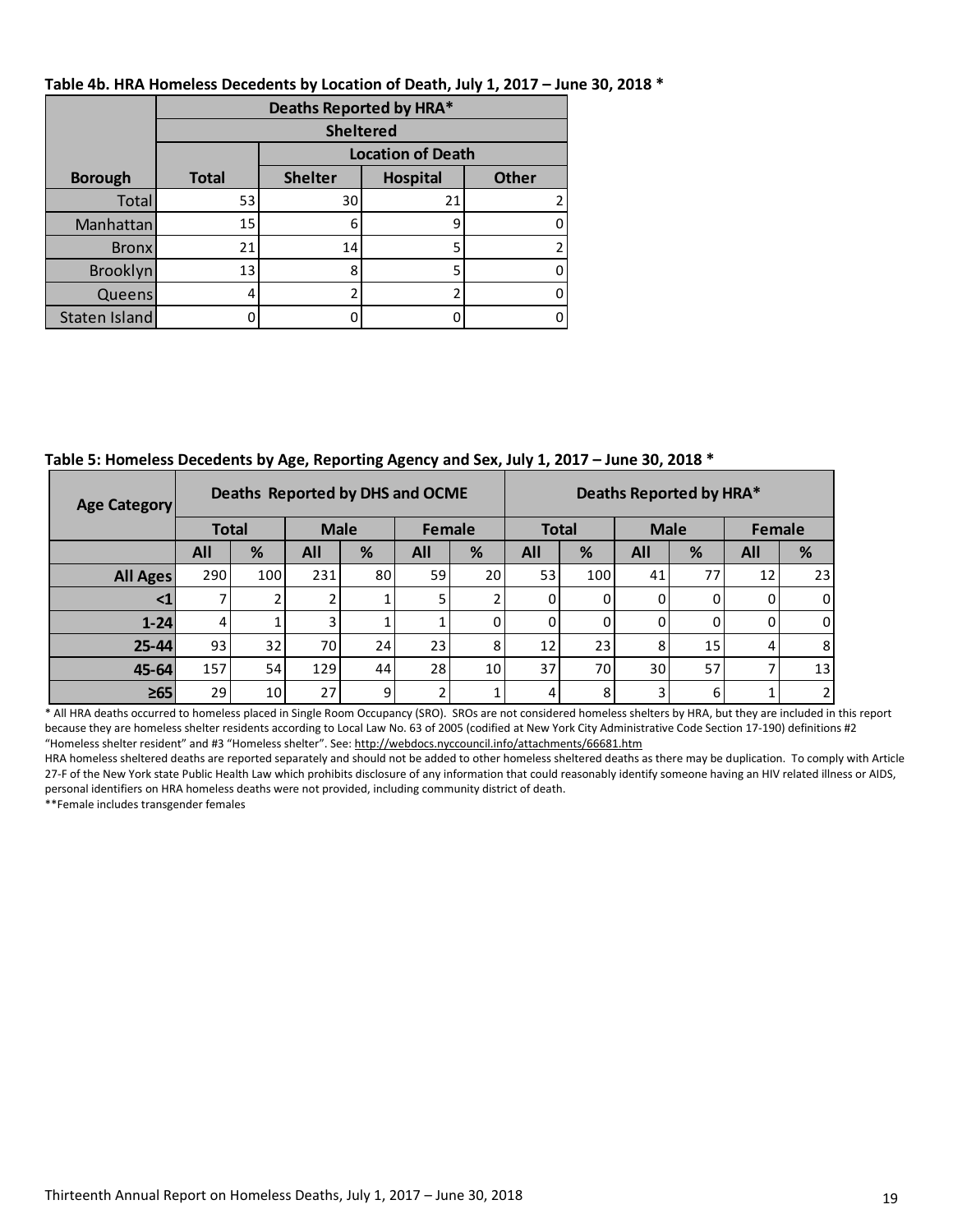|                | Deaths Reported by HRA* |                          |                 |              |  |  |  |  |  |  |  |  |  |  |
|----------------|-------------------------|--------------------------|-----------------|--------------|--|--|--|--|--|--|--|--|--|--|
|                |                         | <b>Sheltered</b>         |                 |              |  |  |  |  |  |  |  |  |  |  |
|                |                         | <b>Location of Death</b> |                 |              |  |  |  |  |  |  |  |  |  |  |
| <b>Borough</b> | <b>Total</b>            | <b>Shelter</b>           | <b>Hospital</b> | <b>Other</b> |  |  |  |  |  |  |  |  |  |  |
| Total          | 53                      | 30                       | 21              |              |  |  |  |  |  |  |  |  |  |  |
| Manhattan      | 15                      | 6                        | 9               |              |  |  |  |  |  |  |  |  |  |  |
| <b>Bronx</b>   | 21                      | 14                       | 5               |              |  |  |  |  |  |  |  |  |  |  |
| Brooklyn       | 13                      | 8                        | 5               |              |  |  |  |  |  |  |  |  |  |  |
| Queens         | 4                       |                          |                 |              |  |  |  |  |  |  |  |  |  |  |
| Staten Island  |                         |                          |                 |              |  |  |  |  |  |  |  |  |  |  |

**Table 4b. HRA Homeless Decedents by Location of Death, July 1, 2017 – June 30, 2018 \***

**Table 5: Homeless Decedents by Age, Reporting Agency and Sex, July 1, 2017 – June 30, 2018 \***

| <b>Age Category</b>                                                                                                                                                 |              |                 | Deaths Reported by DHS and OCME |                |        | Deaths Reported by HRA* |              |     |             |    |        |    |  |
|---------------------------------------------------------------------------------------------------------------------------------------------------------------------|--------------|-----------------|---------------------------------|----------------|--------|-------------------------|--------------|-----|-------------|----|--------|----|--|
|                                                                                                                                                                     | <b>Total</b> |                 | <b>Male</b>                     |                | Female |                         | <b>Total</b> |     | <b>Male</b> |    | Female |    |  |
|                                                                                                                                                                     | <b>All</b>   | %               | All                             | %              | All    | %                       | <b>All</b>   | %   | <b>All</b>  | %  | All    | %  |  |
| <b>All Ages</b>                                                                                                                                                     | 290          | 100             | 231                             | 80             | 59     | 20                      | 53           | 100 | 41          | 77 | 12     | 23 |  |
|                                                                                                                                                                     |              |                 |                                 |                |        |                         |              |     |             |    |        |    |  |
| $1 - 24$                                                                                                                                                            | 4            |                 |                                 |                |        |                         | 0            | U   | 0           |    | 0      |    |  |
| $25 - 44$                                                                                                                                                           | 93           | 32              | 70 I                            | 24             | 23     | 8                       | 12           | 231 | 8           | 15 |        | 8  |  |
| $45 - 64$                                                                                                                                                           | 157          | 54              | 129                             | 44             | 28     | 10 <sup>1</sup>         | 37           | 70  | 30 l        | 57 |        | 13 |  |
| $\geq 65$                                                                                                                                                           | 29           | 10 <sub>1</sub> | 27                              | 9 <sub>l</sub> |        |                         | 4            | 8   | 3           | 6  |        |    |  |
| * All HRA deaths occurred to homeless placed in Single Room Occupancy (SRO). SROs are not considered homeless shelters by HRA, but they are included in this report |              |                 |                                 |                |        |                         |              |     |             |    |        |    |  |

because they are homeless shelter residents according to Local Law No. 63 of 2005 (codified at New York City Administrative Code Section 17-190) definitions #2 "Homeless shelter resident" and #3 "Homeless shelter". See[: http://webdocs.nyccouncil.info/attachments/66681.htm](http://webdocs.nyccouncil.info/attachments/66681.htm)

HRA homeless sheltered deaths are reported separately and should not be added to other homeless sheltered deaths as there may be duplication. To comply with Article 27-F of the New York state Public Health Law which prohibits disclosure of any information that could reasonably identify someone having an HIV related illness or AIDS, personal identifiers on HRA homeless deaths were not provided, including community district of death.

\*\*Female includes transgender females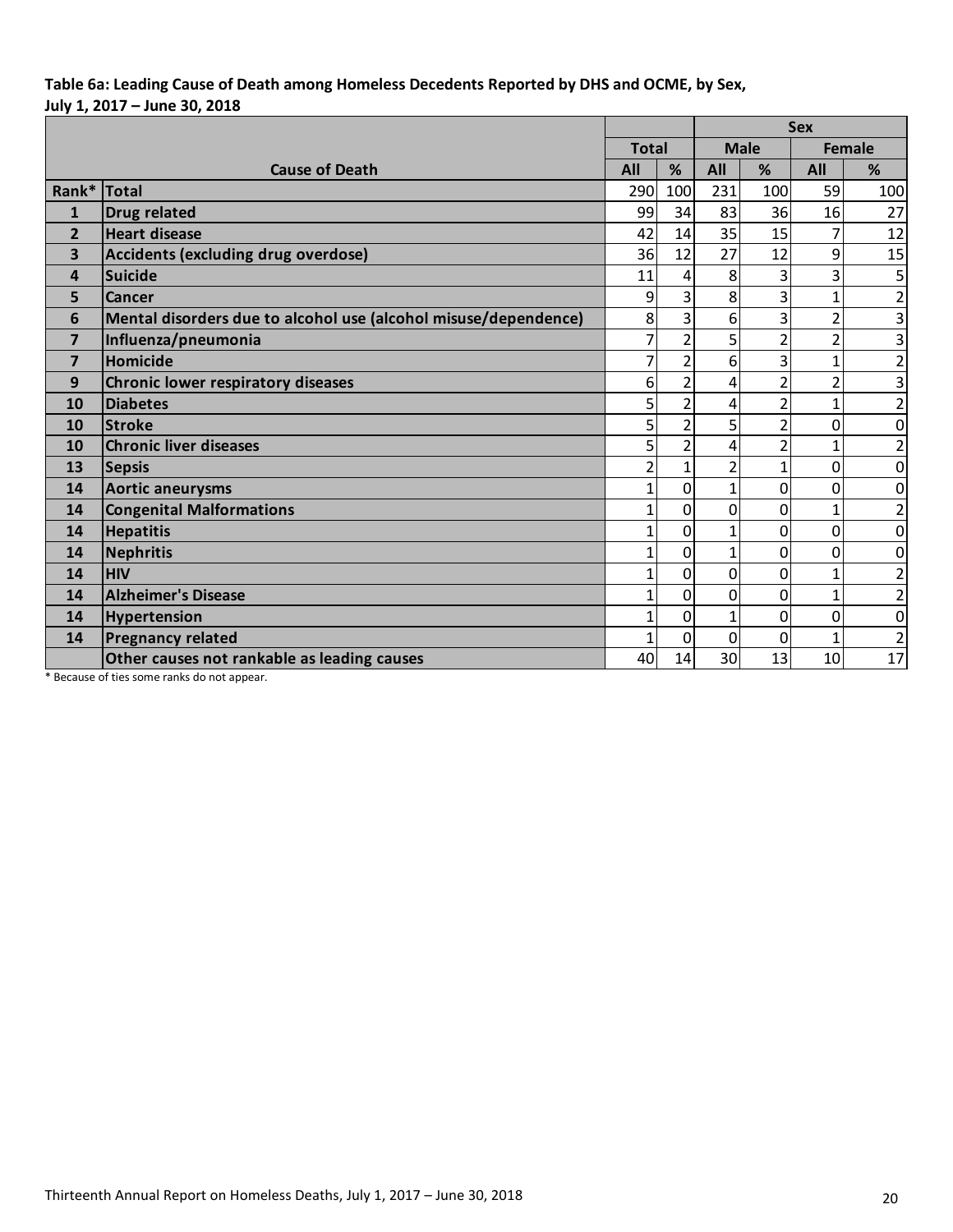## **Table 6a: Leading Cause of Death among Homeless Decedents Reported by DHS and OCME, by Sex, July 1, 2017 – June 30, 2018**

|                         |                                                                 |                |                | <b>Sex</b>     |                |                |                         |  |  |
|-------------------------|-----------------------------------------------------------------|----------------|----------------|----------------|----------------|----------------|-------------------------|--|--|
|                         |                                                                 | <b>Total</b>   |                |                | <b>Male</b>    |                | <b>Female</b>           |  |  |
|                         | <b>Cause of Death</b>                                           | All            | %              | All            | %              | All            | %                       |  |  |
| Rank*                   | <b>Total</b>                                                    | 290            | 100            | 231            | 100            | 59             | 100                     |  |  |
| $\mathbf{1}$            | <b>Drug related</b>                                             | 99             | 34             | 83             | 36             | 16             | 27                      |  |  |
| $\overline{2}$          | <b>Heart disease</b>                                            | 42             | 14             | 35             | 15             | $\overline{7}$ | 12                      |  |  |
| $\overline{\mathbf{3}}$ | Accidents (excluding drug overdose)                             | 36             | 12             | 27             | 12             | 9              | 15                      |  |  |
| 4                       | Suicide                                                         | 11             | 4              | 8              | 3              | 3              | 5                       |  |  |
| 5                       | Cancer                                                          | 9              | 3              | 8              | 3              | $\overline{1}$ | $\overline{2}$          |  |  |
| 6                       | Mental disorders due to alcohol use (alcohol misuse/dependence) | 8              | 3              | 6              | 3              | $\overline{2}$ | $\overline{3}$          |  |  |
| $\overline{7}$          | Influenza/pneumonia                                             | 7              | $\overline{2}$ | 5              | $\overline{2}$ | $\overline{2}$ | 3                       |  |  |
| $\overline{7}$          | Homicide                                                        | 7              | $\overline{2}$ | 6              | 3              | $\mathbf{1}$   | $\overline{\mathbf{c}}$ |  |  |
| 9                       | Chronic lower respiratory diseases                              | 6              | $\overline{2}$ | 4              | $\overline{2}$ | $\overline{2}$ | 3                       |  |  |
| 10                      | <b>Diabetes</b>                                                 | 5              | $\overline{2}$ | 4              | $\overline{2}$ | $\overline{1}$ | $\overline{2}$          |  |  |
| 10                      | <b>Stroke</b>                                                   | 5              | $\overline{2}$ | 5              | $\overline{2}$ | $\overline{0}$ | $\mathbf 0$             |  |  |
| 10                      | <b>Chronic liver diseases</b>                                   | 5              | $\overline{2}$ | 4              | $\overline{2}$ | $\overline{1}$ | $\overline{\mathbf{c}}$ |  |  |
| 13                      | <b>Sepsis</b>                                                   | $\overline{2}$ | $\mathbf{1}$   | $\overline{2}$ | $\mathbf{1}$   | $\mathbf 0$    | 0                       |  |  |
| 14                      | <b>Aortic aneurysms</b>                                         | 1              | 0              | $\mathbf{1}$   | 0              | $\mathbf 0$    | $\mathbf 0$             |  |  |
| 14                      | <b>Congenital Malformations</b>                                 | 1              | 0              | $\overline{0}$ | 0              | $\overline{1}$ | $\overline{\mathbf{c}}$ |  |  |
| 14                      | <b>Hepatitis</b>                                                | 1              | 0              | $\mathbf{1}$   | 0              | 0              | 0                       |  |  |
| 14                      | Nephritis                                                       | 1              | 0              | $\mathbf{1}$   | 0              | $\mathbf 0$    | $\mathbf 0$             |  |  |
| 14                      | <b>HIV</b>                                                      | 1              | 0              | $\Omega$       | 0              | $\mathbf{1}$   | $\overline{\mathbf{c}}$ |  |  |
| 14                      | <b>Alzheimer's Disease</b>                                      | 1              | 0              | 0              | $\overline{0}$ | $\overline{1}$ | $\overline{\mathbf{c}}$ |  |  |
| 14                      | <b>Hypertension</b>                                             | 1              | 0              | 1              | 0              | 0              | $\mathbf 0$             |  |  |
| 14                      | <b>Pregnancy related</b>                                        | 1              | 0              | $\overline{0}$ | 0              | $\overline{1}$ | $\overline{2}$          |  |  |
|                         | Other causes not rankable as leading causes                     | 40             | 14             | 30             | 13             | 10             | 17                      |  |  |

\* Because of ties some ranks do not appear.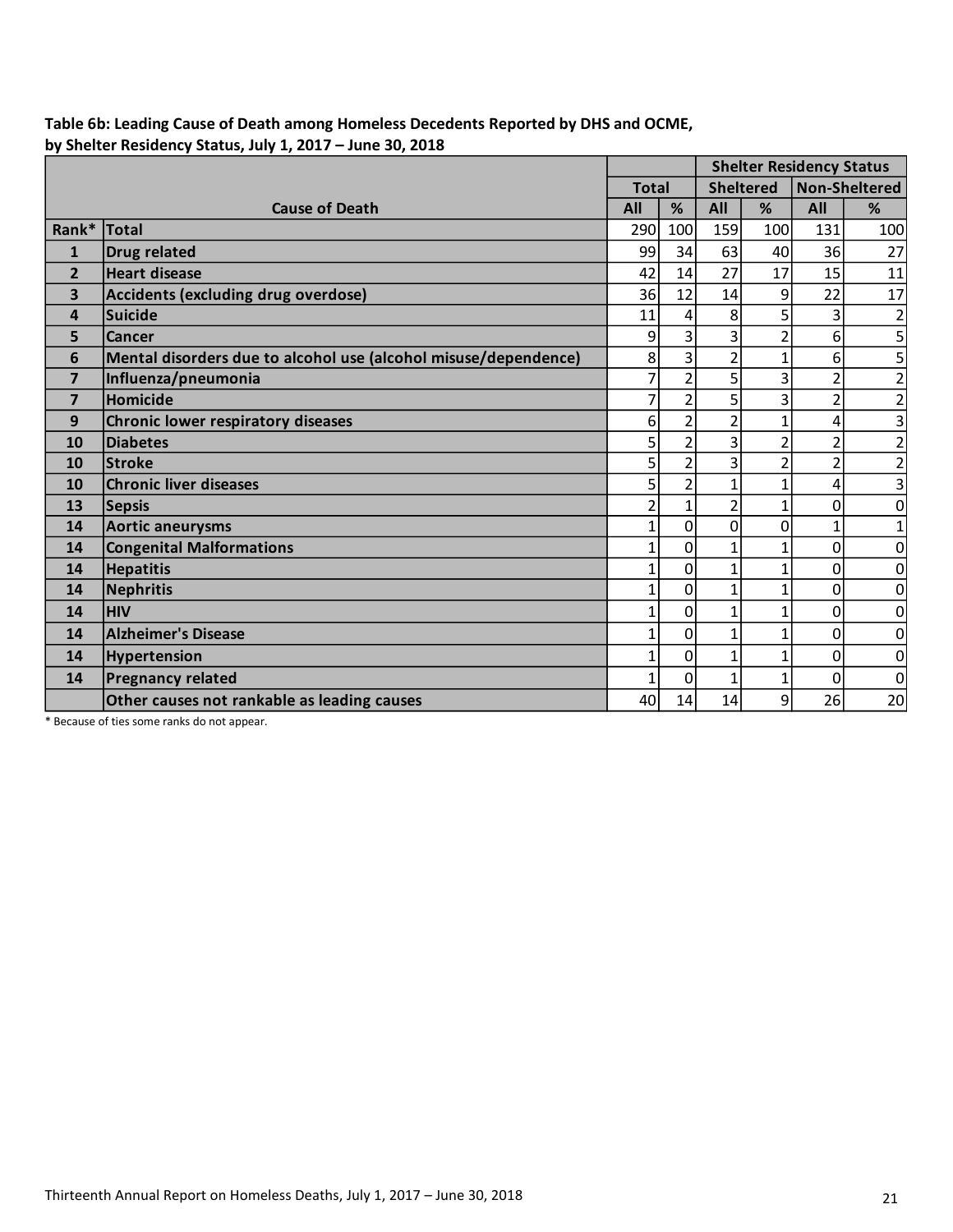## **Table 6b: Leading Cause of Death among Homeless Decedents Reported by DHS and OCME, by Shelter Residency Status, July 1, 2017 – June 30, 2018**

|                         |                                                                 |                                  |                | <b>Shelter Residency Status</b> |                |                      |                         |  |
|-------------------------|-----------------------------------------------------------------|----------------------------------|----------------|---------------------------------|----------------|----------------------|-------------------------|--|
|                         |                                                                 | <b>Sheltered</b><br><b>Total</b> |                |                                 |                | <b>Non-Sheltered</b> |                         |  |
|                         | <b>Cause of Death</b>                                           | All                              | %              | All                             | %              | All                  | %                       |  |
| Rank*                   | <b>Total</b>                                                    | 290                              | 100            | 159                             | 100            | 131                  | 100                     |  |
| $\mathbf{1}$            | <b>Drug related</b>                                             | 99                               | 34             | 63                              | 40             | 36                   | 27                      |  |
| $\overline{2}$          | <b>Heart disease</b>                                            | 42                               | 14             | 27                              | 17             | 15                   | 11                      |  |
| $\overline{\mathbf{3}}$ | Accidents (excluding drug overdose)                             | 36                               | 12             | 14                              | 9              | 22                   | 17                      |  |
| 4                       | Suicide                                                         | 11                               | 4              | 8                               | 5              | 3                    | $\overline{\mathbf{c}}$ |  |
| 5                       | Cancer                                                          | 9                                | 3              | 3                               | $\overline{2}$ | 6                    | 5                       |  |
| 6                       | Mental disorders due to alcohol use (alcohol misuse/dependence) | 8                                | 3              | $\overline{2}$                  | $\overline{1}$ | 6                    | 5                       |  |
| $\overline{7}$          | Influenza/pneumonia                                             | $\overline{7}$                   | $\overline{2}$ | 5                               | 3              | $\overline{2}$       | $\overline{2}$          |  |
| $\overline{7}$          | Homicide                                                        | $\overline{7}$                   | $\overline{2}$ | 5                               | $\overline{3}$ | $\overline{2}$       | $\overline{2}$          |  |
| 9                       | Chronic lower respiratory diseases                              | 6                                | $\overline{2}$ | $\overline{2}$                  | $\overline{1}$ | 4                    | 3                       |  |
| 10                      | <b>Diabetes</b>                                                 | 5                                | $\overline{2}$ | 3                               | $\overline{2}$ | $\overline{2}$       | $\overline{2}$          |  |
| 10                      | <b>Stroke</b>                                                   | 5                                | $\overline{2}$ | 3                               | $\overline{2}$ | $\overline{2}$       | $\overline{2}$          |  |
| 10                      | <b>Chronic liver diseases</b>                                   | 5                                | $\overline{2}$ | $\overline{1}$                  | $\overline{1}$ | 4                    | $\overline{3}$          |  |
| 13                      | <b>Sepsis</b>                                                   | $\overline{2}$                   | $\mathbf{1}$   | $\overline{2}$                  | $\overline{1}$ | $\overline{0}$       | $\mathbf 0$             |  |
| 14                      | <b>Aortic aneurysms</b>                                         | $\overline{1}$                   | 0              | 0                               | $\mathbf 0$    | $\mathbf{1}$         | 1                       |  |
| 14                      | <b>Congenital Malformations</b>                                 | $\overline{1}$                   | $\overline{0}$ | 1                               | $\mathbf{1}$   | 0                    | $\mathbf 0$             |  |
| 14                      | <b>Hepatitis</b>                                                | $\overline{1}$                   | $\overline{0}$ | $\overline{1}$                  | $\overline{1}$ | 0                    | $\mathbf 0$             |  |
| 14                      | <b>Nephritis</b>                                                | $\overline{1}$                   | 0              | $\overline{1}$                  | $\overline{1}$ | 0                    | $\mathbf 0$             |  |
| 14                      | <b>HIV</b>                                                      | $\mathbf 1$                      | $\mathbf 0$    | $\overline{1}$                  | $\mathbf{1}$   | 0                    | $\mathbf 0$             |  |
| 14                      | <b>Alzheimer's Disease</b>                                      | $\overline{1}$                   | $\overline{0}$ | 1                               | $\overline{1}$ | 0                    | $\mathbf 0$             |  |
| 14                      | Hypertension                                                    | $\overline{1}$                   | $\overline{0}$ | 1                               | $\overline{1}$ | 0                    | $\mathbf 0$             |  |
| 14                      | <b>Pregnancy related</b>                                        | $\overline{1}$                   | $\mathbf{0}$   | 1                               | $\mathbf{1}$   | 0                    | $\mathbf 0$             |  |
|                         | Other causes not rankable as leading causes                     | 40                               | 14             | 14                              | 9              | 26                   | 20                      |  |

\* Because of ties some ranks do not appear.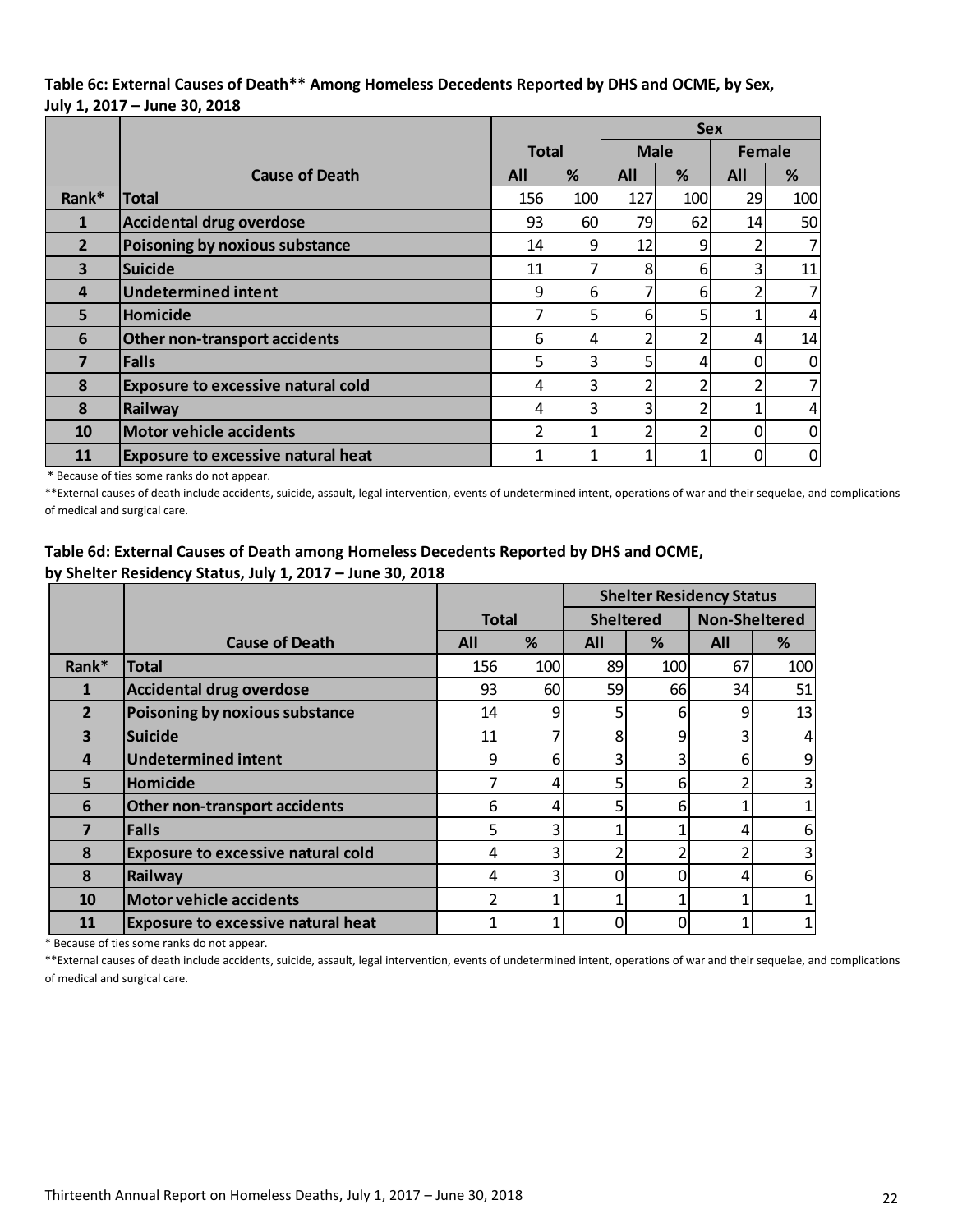#### **Table 6c: External Causes of Death\*\* Among Homeless Decedents Reported by DHS and OCME, by Sex, July 1, 2017 – June 30, 2018**

|                         |                                           | <b>Sex</b>   |          |             |     |            |                |
|-------------------------|-------------------------------------------|--------------|----------|-------------|-----|------------|----------------|
|                         |                                           | <b>Total</b> |          | <b>Male</b> |     | Female     |                |
|                         | <b>Cause of Death</b>                     | All          | %        | %<br>All    |     | <b>All</b> | %              |
| Rank*                   | <b>Total</b>                              | 156          | 100      | 127         | 100 | 29         | 100            |
| $\mathbf{1}$            | <b>Accidental drug overdose</b>           | 93           | 60       | 79          | 62  | 14         | 50             |
| $\overline{2}$          | Poisoning by noxious substance            | 14           | 9        | 12          | 9   |            | 7              |
| 3                       | <b>Suicide</b>                            | 11           |          | 8           | 6   | 3          | 11             |
| $\boldsymbol{4}$        | <b>Undetermined intent</b>                | 9            | $6 \mid$ | 7           | 6   |            | 7              |
| 5                       | Homicide                                  |              | 5        | 6           | 5   |            | $\vert$        |
| 6                       | <b>Other non-transport accidents</b>      | 6            | 4        | ኀ           |     | 4          | 14             |
| $\overline{\mathbf{z}}$ | <b>Falls</b>                              | 5            | 3        | 5           | 4   | 0          | $\Omega$       |
| 8                       | <b>Exposure to excessive natural cold</b> | 4            | 3        | 2           | 2   |            | 7              |
| 8                       | Railway                                   | 4            | 3        | 3           | 2   |            | $\vert$        |
| 10                      | <b>Motor vehicle accidents</b>            |              |          | 2           | 2   | 0          | $\Omega$       |
| 11                      | <b>Exposure to excessive natural heat</b> |              |          |             |     | 0          | $\overline{0}$ |

\* Because of ties some ranks do not appear.

\*\*External causes of death include accidents, suicide, assault, legal intervention, events of undetermined intent, operations of war and their sequelae, and complications of medical and surgical care.

#### **Table 6d: External Causes of Death among Homeless Decedents Reported by DHS and OCME, by Shelter Residency Status, July 1, 2017 – June 30, 2018**

|                |                                           |              |     | <b>Shelter Residency Status</b> |     |                      |     |  |
|----------------|-------------------------------------------|--------------|-----|---------------------------------|-----|----------------------|-----|--|
|                |                                           | <b>Total</b> |     | <b>Sheltered</b>                |     | <b>Non-Sheltered</b> |     |  |
|                | <b>Cause of Death</b>                     | <b>All</b>   | %   | All                             | %   | All                  | %   |  |
| Rank*          | <b>Total</b>                              | 156          | 100 | 89                              | 100 | 67                   | 100 |  |
| 1              | <b>Accidental drug overdose</b>           | 93           | 60  | 59                              | 66  | 34                   | 51  |  |
| $\overline{2}$ | Poisoning by noxious substance            | 14           | 9   |                                 | 6   | 9                    | 13  |  |
| 3              | <b>Suicide</b>                            | 11           |     | 8                               | 9   | 3                    | 4   |  |
| 4              | <b>Undetermined intent</b>                | 9            | 6   |                                 |     | 6                    | 9   |  |
| 5              | Homicide                                  |              |     |                                 | 6   | 2                    | 3   |  |
| 6              | Other non-transport accidents             | 6            |     |                                 | 6   |                      | 1   |  |
| 7              | Falls                                     | 5            | 3   |                                 |     | 4                    | 6   |  |
| 8              | <b>Exposure to excessive natural cold</b> | 4            | 3   |                                 |     |                      | 3   |  |
| 8              | Railway                                   | 4            |     |                                 |     | 4                    | 6   |  |
| 10             | <b>Motor vehicle accidents</b>            |              |     |                                 |     |                      | 1   |  |
| 11             | <b>Exposure to excessive natural heat</b> |              |     | 0                               | 0   |                      | 1   |  |

\* Because of ties some ranks do not appear.

\*\*External causes of death include accidents, suicide, assault, legal intervention, events of undetermined intent, operations of war and their sequelae, and complications of medical and surgical care.